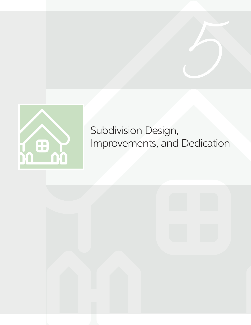

# Subdivision Design, Improvements, and Dedication

**5**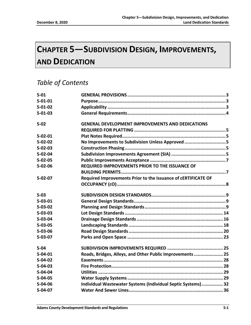# **CHAPTER 5—SUBDIVISION DESIGN, IMPROVEMENTS, AND DEDICATION**

# *Table of Contents*

| $5 - 01$      |                                                               |  |
|---------------|---------------------------------------------------------------|--|
| $5 - 01 - 01$ |                                                               |  |
| $5 - 01 - 02$ |                                                               |  |
| $5 - 01 - 03$ |                                                               |  |
| $5 - 02$      | <b>GENERAL DEVELOPMENT IMPROVEMENTS AND DEDICATIONS</b>       |  |
|               |                                                               |  |
| $5 - 02 - 01$ |                                                               |  |
| $5 - 02 - 02$ | No Improvements to Subdivision Unless Approved 5              |  |
| $5 - 02 - 03$ |                                                               |  |
| $5 - 02 - 04$ |                                                               |  |
| $5 - 02 - 05$ |                                                               |  |
| $5 - 02 - 06$ | REQUIRED IMPROVEMENTS PRIOR TO THE ISSUANCE OF                |  |
|               |                                                               |  |
| $5 - 02 - 07$ | Required Improvements Prior to the Issuance of cERTIFICATE OF |  |
|               |                                                               |  |
| $5 - 03$      |                                                               |  |
| $5 - 03 - 01$ |                                                               |  |
| $5 - 03 - 02$ |                                                               |  |
| $5 - 03 - 03$ |                                                               |  |
| $5 - 03 - 04$ |                                                               |  |
| $5 - 03 - 05$ |                                                               |  |
| $5 - 03 - 06$ |                                                               |  |
| $5 - 03 - 07$ |                                                               |  |
| $5 - 04$      |                                                               |  |
| $5 - 04 - 01$ | Roads, Bridges, Alleys, and Other Public Improvements 25      |  |
| $5 - 04 - 02$ |                                                               |  |
| $5 - 04 - 03$ |                                                               |  |
| $5 - 04 - 04$ |                                                               |  |
| $5 - 04 - 05$ |                                                               |  |
| $5 - 04 - 06$ | Individual Wastewater Systems (Individual Septic Systems)  32 |  |
| $5-04-07$     |                                                               |  |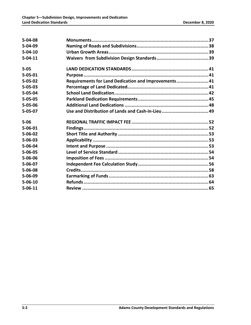| $5 - 04 - 08$ |                                                      |  |
|---------------|------------------------------------------------------|--|
| $5 - 04 - 09$ |                                                      |  |
| $5 - 04 - 10$ |                                                      |  |
| $5 - 04 - 11$ |                                                      |  |
| $5 - 05$      |                                                      |  |
| $5 - 05 - 01$ |                                                      |  |
| $5 - 05 - 02$ | Requirements for Land Dedication and Improvements 41 |  |
| $5 - 05 - 03$ |                                                      |  |
| $5 - 05 - 04$ |                                                      |  |
| $5 - 05 - 05$ |                                                      |  |
| $5 - 05 - 06$ |                                                      |  |
| $5 - 05 - 07$ |                                                      |  |
|               |                                                      |  |
| $5 - 06$      |                                                      |  |
| $5 - 06 - 01$ |                                                      |  |
| $5 - 06 - 02$ |                                                      |  |
| $5 - 06 - 03$ |                                                      |  |
| $5 - 06 - 04$ |                                                      |  |
| $5 - 06 - 05$ |                                                      |  |
| $5 - 06 - 06$ |                                                      |  |
| $5 - 06 - 07$ |                                                      |  |
| $5 - 06 - 08$ |                                                      |  |
| $5 - 06 - 09$ |                                                      |  |
| $5 - 06 - 10$ |                                                      |  |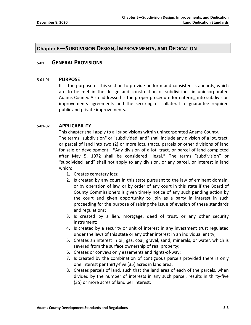# **Chapter 5—SUBDIVISION DESIGN, IMPROVEMENTS, AND DEDICATION**

# **5-01 GENERAL PROVISIONS**

#### **5-01-01 PURPOSE**

It is the purpose of this section to provide uniform and consistent standards, which are to be met in the design and construction of subdivisions in unincorporated Adams County. Also addressed is the proper procedure for entering into subdivision improvements agreements and the securing of collateral to guarantee required public and private improvements.

# **5-01-02 APPLICABILITY**

This chapter shall apply to all subdivisions within unincorporated Adams County. The terms "subdivision" or "subdivided land" shall include any division of a lot, tract, or parcel of land into two (2) or more lots, tracts, parcels or other divisions of land for sale or development. **\***Any division of a lot, tract, or parcel of land completed after May 5, 1972 shall be considered illegal.**\*** The terms "subdivision" or "subdivided land" shall not apply to any division, or any parcel, or interest in land which:

- 1. Creates cemetery lots;
- 2. Is created by any court in this state pursuant to the law of eminent domain, or by operation of law, or by order of any court in this state if the Board of County Commissioners is given timely notice of any such pending action by the court and given opportunity to join as a party in interest in such proceeding for the purpose of raising the issue of evasion of these standards and regulations;
- 3. Is created by a lien, mortgage, deed of trust, or any other security instrument;
- 4. Is created by a security or unit of interest in any investment trust regulated under the laws of this state or any other interest in an individual entity;
- 5. Creates an interest in oil, gas, coal, gravel, sand, minerals, or water, which is severed from the surface ownership of real property;
- 6. Creates or conveys only easements and rights-of-way;
- 7. Is created by the combination of contiguous parcels provided there is only one interest per thirty-five (35) acres in land area;
- 8. Creates parcels of land, such that the land area of each of the parcels, when divided by the number of interests in any such parcel, results in thirty-five (35) or more acres of land per interest;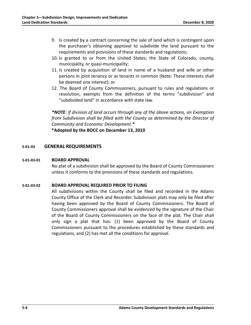- 9. Is created by a contract concerning the sale of land which is contingent upon the purchaser's obtaining approval to subdivide the land pursuant to the requirements and provisions of these standards and regulations;
- 10. Is granted to or from the United States; the State of Colorado, county, municipality, or quasi-municipality;
- 11. Is created by acquisition of land in name of a husband and wife or other persons in joint tenancy or as tenants in common (Note: These interests shall be deemed one interest); or
- 12. The Board of County Commissioners, pursuant to rules and regulations or resolution, exempts from the definition of the terms "subdivision" and "subdivided land" in accordance with state law.

*\*NOTE: If division of land occurs through any of the above actions, an Exemption from Subdivision shall be filled with the County as determined by the Director of Community and Economic Development.\**

**\*Adopted by the BOCC on December 13, 2010**

# **5-01-03 GENERAL REQUIREMENTS**

#### **5-01-03-01 BOARD APPROVAL**

No plat of a subdivision shall be approved by the Board of County Commissioners unless it conforms to the provisions of these standards and regulations.

#### **5-01-03-02 BOARD APPROVAL REQUIRED PRIOR TO FILING**

All subdivisions within the County shall be filed and recorded in the Adams County Office of the Clerk and Recorder. Subdivision plats may only be filed after having been approved by the Board of County Commissioners. The Board of County Commissioners approval shall be evidenced by the signature of the Chair of the Board of County Commissioners on the face of the plat. The Chair shall only sign a plat that has: (1) been approved by the Board of County Commissioners pursuant to the procedures established by these standards and regulations, and (2) has met all the conditions for approval.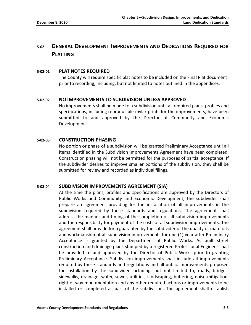# **5-02 GENERAL DEVELOPMENT IMPROVEMENTS AND DEDICATIONS REQUIRED FOR PLATTING**

# **5-02-01 PLAT NOTES REQUIRED**

The County will require specific plat notes to be included on the Final Plat document prior to recording, including, but not limited to notes outlined in the appendices.

# **5-02-02 NO IMPROVEMENTS TO SUBDIVISION UNLESS APPROVED**

No improvements shall be made to a subdivision until all required plans, profiles and specifications, including reproducible mylar prints for the improvements, have been submitted to and approved by the Director of Community and Economic Development.

# **5-02-03 CONSTRUCTION PHASING**

No portion or phase of a subdivision will be granted Preliminary Acceptance until all items identified in the Subdivision Improvements Agreement have been completed. Construction phasing will not be permitted for the purposes of partial acceptance. If the subdivider desires to improve smaller portions of the subdivision, they shall be submitted for review and recorded as individual filings.

# **5-02-04 SUBDIVISION IMPROVEMENTS AGREEMENT (SIA)**

At the time the plans, profiles and specifications are approved by the Directors of Public Works and Community and Economic Development, the subdivider shall prepare an agreement providing for the installation of all improvements in the subdivision required by these standards and regulations. The agreement shall address the manner and timing of the completion of all subdivision improvements and the responsibility for payment of the costs of all subdivision improvements. The agreement shall provide for a guarantee by the subdivider of the quality of materials and workmanship of all subdivision improvements for one (1) year after Preliminary Acceptance is granted by the Department of Public Works. As built street construction and drainage plans stamped by a registered Professional Engineer shall be provided to and approved by the Director of Public Works prior to granting Preliminary Acceptance. Subdivision improvements shall include all improvements required by these standards and regulations and all public improvements proposed for installation by the subdivider including, but not limited to, roads, bridges, sidewalks, drainage, water, sewer, utilities, landscaping, buffering, noise mitigation, right-of-way monumentation and any other required actions or improvements to be installed or completed as part of the subdivision. The agreement shall establish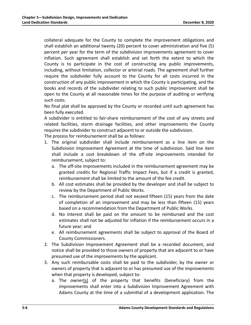collateral adequate for the County to complete the improvement obligations and shall establish an additional twenty (20) percent to cover administration and five (5) percent per year for the term of the subdivision improvements agreement to cover inflation. Such agreement shall establish and set forth the extent to which the County is to participate in the cost of constructing any public improvements, including, without limitation, collector or arterial roads. The agreement shall further require the subdivider fully account to the County for all costs incurred in the construction of any public improvement in which the County is participating, and the books and records of the subdivider relating to such public improvement shall be open to the County at all reasonable times for the purpose of auditing or verifying such costs.

No final plat shall be approved by the County or recorded until such agreement has been fully executed.

A subdivider is entitled to fair-share reimbursement of the cost of any streets and related facilities, storm drainage facilities, and other improvements the County requires the subdivider to construct adjacent to or outside the subdivision.

The process for reimbursement shall be as follows:

- 1. The original subdivider shall include reimbursement as a line item on the Subdivision Improvement Agreement at the time of subdivision. Said line item shall include a cost breakdown of the off-site improvements intended for reimbursement, subject to:
	- a. The off-site improvements included in the reimbursement agreement may be granted credits for Regional Traffic Impact Fees, but if a credit is granted, reimbursement shall be limited to the amount of the fee credit.
	- b. All cost estimates shall be provided by the developer and shall be subject to review by the Department of Public Works.
	- c. The reimbursement period shall not exceed fifteen (15) years from the date of completion of an improvement and may be less than fifteen (15) years based on a recommendation from the Department of Public Works.
	- d. No interest shall be paid on the amount to be reimbursed and the cost estimates shall not be adjusted for inflation if the reimbursement occurs in a future year; and
	- e. All reimbursement agreements shall be subject to approval of the Board of County Commissioners.
- 2. The Subdivision Improvement Agreement shall be a recorded document, and notice shall be provided to those owners of property that are adjacent to or have presumed use of the improvements by the applicant.
- 3. Any such reimbursable costs shall be paid to the subdivider, by the owner or owners of property that is adjacent to or has presumed use of the improvements when that property is developed, subject to:
	- a. The owner(s) of the property that benefits (beneficiary) from the improvements shall enter into a Subdivision Improvement Agreement with Adams County at the time of a submittal of a development application. The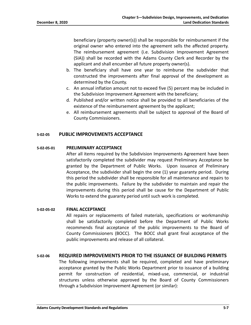beneficiary (property owner(s)) shall be responsible for reimbursement if the original owner who entered into the agreement sells the affected property. The reimbursement agreement (i.e. Subdivision Improvement Agreement (SIA)) shall be recorded with the Adams County Clerk and Recorder by the applicant and shall encumber all future property owner(s).

- b. The beneficiary shall have one year to reimburse the subdivider that constructed the improvements after final approval of the development as determined by the County.
- c. An annual inflation amount not to exceed five (5) percent may be included in the Subdivision Improvement Agreement with the beneficiary;
- d. Published and/or written notice shall be provided to all beneficiaries of the existence of the reimbursement agreement by the applicant;
- e. All reimbursement agreements shall be subject to approval of the Board of County Commissioners.

# **5-02-05 PUBLIC IMPROVEMENTS ACCEPTANCE**

#### **5-02-05-01 PRELIMINARY ACCEPTANCE**

After all items required by the Subdivision Improvements Agreement have been satisfactorily completed the subdivider may request Preliminary Acceptance be granted by the Department of Public Works. Upon issuance of Preliminary Acceptance, the subdivider shall begin the one (1) year guaranty period. During this period the subdivider shall be responsible for all maintenance and repairs to the public improvements. Failure by the subdivider to maintain and repair the improvements during this period shall be cause for the Department of Public Works to extend the guaranty period until such work is completed.

#### **5-02-05-02 FINAL ACCEPTANCE**

All repairs or replacements of failed materials, specifications or workmanship shall be satisfactorily completed before the Department of Public Works recommends final acceptance of the public improvements to the Board of County Commissioners (BOCC). The BOCC shall grant final acceptance of the public improvements and release of all collateral.

#### **5-02-06 REQUIRED IMPROVEMENTS PRIOR TO THE ISSUANCE OF BUILDING PERMITS**

The following improvements shall be required, completed and have preliminary acceptance granted by the Public Works Department prior to issuance of a building permit for construction of residential, mixed-use, commercial, or industrial structures unless otherwise approved by the Board of County Commissioners through a Subdivision Improvement Agreement (or similar):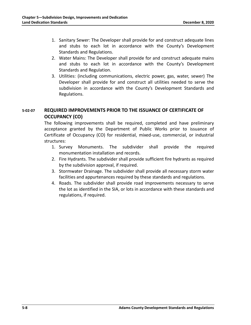- 1. Sanitary Sewer: The Developer shall provide for and construct adequate lines and stubs to each lot in accordance with the County's Development Standards and Regulations.
- 2. Water Mains: The Developer shall provide for and construct adequate mains and stubs to each lot in accordance with the County's Development Standards and Regulation.
- 3. Utilities: (including communications, electric power, gas, water, sewer) The Developer shall provide for and construct all utilities needed to serve the subdivision in accordance with the County's Development Standards and Regulations.

# **5-02-07 REQUIRED IMPROVEMENTS PRIOR TO THE ISSUANCE OF CERTIFICATE OF OCCUPANCY (CO)**

The following improvements shall be required, completed and have preliminary acceptance granted by the Department of Public Works prior to issuance of Certificate of Occupancy (CO) for residential, mixed-use, commercial, or industrial structures:

- 1. Survey Monuments. The subdivider shall provide the required monumentation installation and records.
- 2. Fire Hydrants. The subdivider shall provide sufficient fire hydrants as required by the subdivision approval, if required.
- 3. Stormwater Drainage. The subdivider shall provide all necessary storm water facilities and appurtenances required by these standards and regulations.
- 4. Roads. The subdivider shall provide road improvements necessary to serve the lot as identified in the SIA, or lots in accordance with these standards and regulations, if required.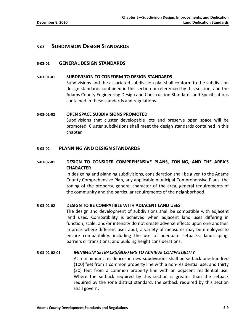# **5-03 SUBDIVISION DESIGN STANDARDS**

# **5-03-01 GENERAL DESIGN STANDARDS**

#### **5-03-01-01 SUBDIVISION TO CONFORM TO DESIGN STANDARDS**

Subdivisions and the associated subdivision plat shall conform to the subdivision design standards contained in this section or referenced by this section, and the Adams County Engineering Design and Construction Standards and Specifications contained in these standards and regulations.

# **5-03-01-02 OPEN SPACE SUBDIVISIONS PROMOTED**

Subdivisions that cluster developable lots and preserve open space will be promoted. Cluster subdivisions shall meet the design standards contained in this chapter.

# **5-03-02 PLANNING AND DESIGN STANDARDS**

# **5-03-02-01 DESIGN TO CONSIDER COMPREHENSIVE PLANS, ZONING, AND THE AREA'S CHARACTER**

In designing and planning subdivisions, consideration shall be given to the Adams County Comprehensive Plan, any applicable municipal Comprehensive Plans, the zoning of the property, general character of the area, general requirements of the community and the particular requirements of the neighborhood.

#### **5-03-02-02 DESIGN TO BE COMPATIBLE WITH ADJACENT LAND USES**

The design and development of subdivisions shall be compatible with adjacent land uses. Compatibility is achieved when adjacent land uses differing in function, scale, and/or intensity do not create adverse effects upon one another. In areas where different uses abut, a variety of measures may be employed to ensure compatibility, including the use of adequate setbacks, landscaping, barriers or transitions, and building height considerations.

#### **5-03-02-02-01** *MINIMUM SETBACKS/BUFFERS TO ACHIEVE COMPATIBILITY*

At a minimum, residences in new subdivisions shall be setback one-hundred (100) feet from a common property line with a non-residential use, and thirty (30) feet from a common property line with an adjacent residential use. Where the setback required by this section is greater than the setback required by the zone district standard, the setback required by this section shall govern.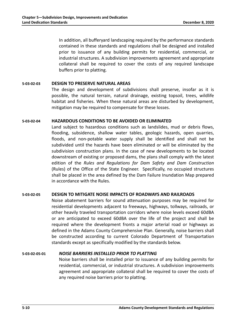In addition, all bufferyard landscaping required by the performance standards contained in these standards and regulations shall be designed and installed prior to issuance of any building permits for residential, commercial, or industrial structures. A subdivision improvements agreement and appropriate collateral shall be required to cover the costs of any required landscape buffers prior to platting.

#### **5-03-02-03 DESIGN TO PRESERVE NATURAL AREAS**

The design and development of subdivisions shall preserve, insofar as it is possible, the natural terrain, natural drainage, existing topsoil, trees, wildlife habitat and fisheries. When these natural areas are disturbed by development, mitigation may be required to compensate for these losses.

#### **5-03-02-04 HAZARDOUS CONDITIONS TO BE AVOIDED OR ELIMINATED**

Land subject to hazardous conditions such as landslides, mud or debris flows, flooding, subsidence, shallow water tables, geologic hazards, open quarries, floods, and non-potable water supply shall be identified and shall not be subdivided until the hazards have been eliminated or will be eliminated by the subdivision construction plans. In the case of new developments to be located downstream of existing or proposed dams, the plans shall comply with the latest edition of the *Rules and Regulations for Dam Safety and Dam Construction* (Rules) of the Office of the State Engineer. Specifically, no occupied structures shall be placed in the area defined by the Dam Failure Inundation Map prepared in accordance with the Rules.

#### **5-03-02-05 DESIGN TO MITIGATE NOISE IMPACTS OF ROADWAYS AND RAILROADS**

Noise abatement barriers for sound attenuation purposes may be required for residential developments adjacent to freeways, highways, tollways, railroads, or other heavily traveled transportation corridors where noise levels exceed 60dBA or are anticipated to exceed 60dBA over the life of the project and shall be required where the development fronts a major arterial road or highways as defined in the Adams County Comprehensive Plan. Generally, noise barriers shall be constructed according to current Colorado Department of Transportation standards except as specifically modified by the standards below.

#### **5-03-02-05-01** *NOISE BARRIERS INSTALLED PRIOR TO PLATTING*

Noise barriers shall be installed prior to issuance of any building permits for residential, commercial, or industrial structures. A subdivision improvements agreement and appropriate collateral shall be required to cover the costs of any required noise barriers prior to platting.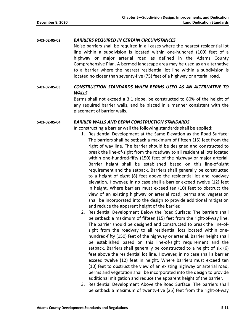# **5-03-02-05-02** *BARRIERS REQUIRED IN CERTAIN CIRCUMSTANCES*

Noise barriers shall be required in all cases where the nearest residential lot line within a subdivision is located within one-hundred (100) feet of a highway or major arterial road as defined in the Adams County Comprehensive Plan. A bermed landscape area may be used as an alternative to a barrier where the nearest residential lot line within a subdivision is located no closer than seventy-five (75) feet of a highway or arterial road.

# **5-03-02-05-03** *CONSTRUCTION STANDARDS WHEN BERMS USED AS AN ALTERNATIVE TO WALLS*

Berms shall not exceed a 3:1 slope, be constructed to 80% of the height of any required barrier walls, and be placed in a manner consistent with the placement of barrier walls.

#### **5-03-02-05-04** *BARRIER WALLS AND BERM CONSTRUCTION STANDARDS*

In constructing a barrier wall the following standards shall be applied:

- 1. Residential Development at the Same Elevation as the Road Surface: The barriers shall be setback a maximum of fifteen (15) feet from the right of way line. The barrier should be designed and constructed to break the line-of-sight from the roadway to all residential lots located within one-hundred-fifty (150) feet of the highway or major arterial. Barrier height shall be established based on this line-of-sight requirement and the setback. Barriers shall generally be constructed to a height of eight (8) feet above the residential lot and roadway elevation. However, in no case shall a barrier exceed twelve (12) feet in height. Where barriers must exceed ten (10) feet to obstruct the view of an existing highway or arterial road, berms and vegetation shall be incorporated into the design to provide additional mitigation and reduce the apparent height of the barrier.
- 2. Residential Development Below the Road Surface: The barriers shall be setback a maximum of fifteen (15) feet from the right-of-way line. The barrier should be designed and constructed to break the line-ofsight from the roadway to all residential lots located within onehundred-fifty (150) feet of the highway or arterial. Barrier height shall be established based on this line-of-sight requirement and the setback. Barriers shall generally be constructed to a height of six (6) feet above the residential lot line. However, in no case shall a barrier exceed twelve (12) feet in height. Where barriers must exceed ten (10) feet to obstruct the view of an existing highway or arterial road, berms and vegetation shall be incorporated into the design to provide additional mitigation and reduce the apparent height of the barrier.
- 3. Residential Development Above the Road Surface: The barriers shall be setback a maximum of twenty-five (25) feet from the right-of-way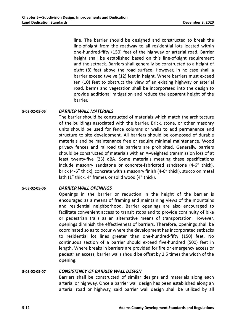line. The barrier should be designed and constructed to break the line-of-sight from the roadway to all residential lots located within one-hundred-fifty (150) feet of the highway or arterial road. Barrier height shall be established based on this line-of-sight requirement and the setback. Barriers shall generally be constructed to a height of eight (8) feet above the road surface. However, in no case shall a barrier exceed twelve (12) feet in height. Where barriers must exceed ten (10) feet to obstruct the view of an existing highway or arterial road, berms and vegetation shall be incorporated into the design to provide additional mitigation and reduce the apparent height of the barrier.

**5-03-02-05-05** *BARRIER WALL MATERIALS*

The barrier should be constructed of materials which match the architecture of the buildings associated with the barrier. Brick, stone, or other masonry units should be used for fence columns or walls to add permanence and structure to site development. All barriers should be composed of durable materials and be maintenance free or require minimal maintenance. Wood privacy fences and railroad tie barriers are prohibited. Generally, barriers should be constructed of materials with an A-weighted transmission loss of at least twenty-five (25) dBA. Some materials meeting these specifications include masonry sandstone or concrete-fabricated sandstone (4-6" thick), brick (4-6" thick), concrete with a masonry finish (4-6" thick), stucco on metal lath (1" thick, 4" frame), or solid wood (4" thick).

#### **5-03-02-05-06** *BARRIER WALL OPENINGS*

Openings in the barrier or reduction in the height of the barrier is encouraged as a means of framing and maintaining views of the mountains and residential neighborhood. Barrier openings are also encouraged to facilitate convenient access to transit stops and to provide continuity of bike or pedestrian trails as an alternative means of transportation. However, openings diminish the effectiveness of barriers. Therefore, openings shall be coordinated so as to occur where the development has incorporated setbacks to residential lot lines greater than one-hundred-fifty (150) feet. No continuous section of a barrier should exceed five-hundred (500) feet in length. Where breaks in barriers are provided for fire or emergency access or pedestrian access, barrier walls should be offset by 2.5 times the width of the opening.

# **5-03-02-05-07** *CONSISTENCY OF BARRIER WALL DESIGN*

Barriers shall be constructed of similar designs and materials along each arterial or highway. Once a barrier wall design has been established along an arterial road or highway, said barrier wall design shall be utilized by all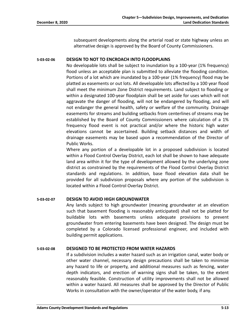subsequent developments along the arterial road or state highway unless an alternative design is approved by the Board of County Commissioners.

#### **5-03-02-06 DESIGN TO NOT TO ENCROACH INTO FLOODPLAINS**

No developable lots shall be subject to inundation by a 100-year (1% frequency) flood unless an acceptable plan is submitted to alleviate the flooding condition. Portions of a lot which are inundated by a 100-year (1% frequency) flood may be platted as easements or out lots. All developable lots affected by a 100 year flood shall meet the minimum Zone District requirements. Land subject to flooding or within a designated 100-year floodplain shall be set aside for uses which will not aggravate the danger of flooding, will not be endangered by flooding, and will not endanger the general health, safety or welfare of the community. Drainage easements for streams and building setbacks from centerlines of streams may be established by the Board of County Commissioners where calculation of a 1% frequency flood event is not practical and/or where the historic high water elevations cannot be ascertained. Building setback distances and width of drainage easements may be based upon a recommendation of the Director of Public Works.

Where any portion of a developable lot in a proposed subdivision is located within a Flood Control Overlay District, each lot shall be shown to have adequate land area within it for the type of development allowed by the underlying zone district as constrained by the requirements of the Flood Control Overlay District standards and regulations. In addition, base flood elevation data shall be provided for all subdivision proposals where any portion of the subdivision is located within a Flood Control Overlay District.

#### **5-03-02-07 DESIGN TO AVOID HIGH GROUNDWATER**

Any lands subject to high groundwater (meaning groundwater at an elevation such that basement flooding is reasonably anticipated) shall not be platted for buildable lots with basements unless adequate provisions to prevent groundwater from entering basements have been designed. The design must be completed by a Colorado licensed professional engineer, and included with building permit applications.

#### **5-03-02-08 DESIGNED TO BE PROTECTED FROM WATER HAZARDS**

If a subdivision includes a water hazard such as an irrigation canal, water body or other water channel, necessary design precautions shall be taken to minimize any hazard to life or property, and additional measures such as fencing, water depth indicators, and erection of warning signs shall be taken, to the extent reasonably feasible. Construction of utility improvements shall not be allowed within a water hazard. All measures shall be approved by the Director of Public Works in consultation with the owner/operator of the water body, if any.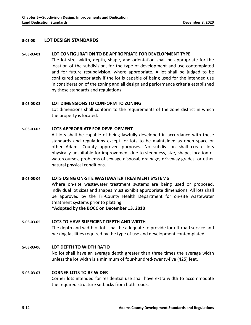# **5-03-03 LOT DESIGN STANDARDS**

#### **5-03-03-01 LOT CONFIGURATION TO BE APPROPRIATE FOR DEVELOPMENT TYPE**

The lot size, width, depth, shape, and orientation shall be appropriate for the location of the subdivision, for the type of development and use contemplated and for future resubdivision, where appropriate. A lot shall be judged to be configured appropriately if the lot is capable of being used for the intended use in consideration of the zoning and all design and performance criteria established by these standards and regulations.

#### **5-03-03-02 LOT DIMENSIONS TO CONFORM TO ZONING**

Lot dimensions shall conform to the requirements of the zone district in which the property is located.

# **5-03-03-03 LOTS APPROPRIATE FOR DEVELOPMENT**

All lots shall be capable of being lawfully developed in accordance with these standards and regulations except for lots to be maintained as open space or other Adams County approved purposes. No subdivision shall create lots physically unsuitable for improvement due to steepness, size, shape, location of watercourses, problems of sewage disposal, drainage, driveway grades, or other natural physical conditions.

#### **5-03-03-04 LOTS USING ON-SITE WASTEWATER TREATMENT SYSTEMS**

Where on-site wastewater treatment systems are being used or proposed, individual lot sizes and shapes must exhibit appropriate dimensions. All lots shall be approved by the Tri-County Health Department for on-site wastewater treatment systems prior to platting.

**\*Adopted by the BOCC on December 13, 2010**

# **5-03-03-05 LOTS TO HAVE SUFFICIENT DEPTH AND WIDTH** The depth and width of lots shall be adequate to provide for off-road service and parking facilities required by the type of use and development contemplated.

# **5-03-03-06 LOT DEPTH TO WIDTH RATIO**

No lot shall have an average depth greater than three times the average width unless the lot width is a minimum of four-hundred-twenty-five (425) feet.

#### **5-03-03-07 CORNER LOTS TO BE WIDER**

Corner lots intended for residential use shall have extra width to accommodate the required structure setbacks from both roads.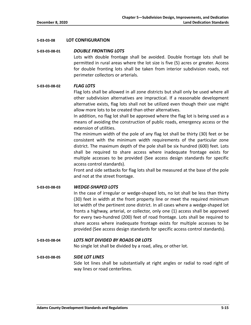#### **5-03-03-08 LOT CONFIGURATION**

#### **5-03-03-08-01** *DOUBLE FRONTING LOTS*

Lots with double frontage shall be avoided. Double frontage lots shall be permitted in rural areas where the lot size is five (5) acres or greater. Access for double fronting lots shall be taken from interior subdivision roads, not perimeter collectors or arterials.

# **5-03-03-08-02** *FLAG LOTS*

Flag lots shall be allowed in all zone districts but shall only be used where all other subdivision alternatives are impractical. If a reasonable development alternative exists, flag lots shall not be utilized even though their use might allow more lots to be created than other alternatives.

In addition, no flag lot shall be approved where the flag lot is being used as a means of avoiding the construction of public roads, emergency access or the extension of utilities.

The minimum width of the pole of any flag lot shall be thirty (30) feet or be consistent with the minimum width requirements of the particular zone district. The maximum depth of the pole shall be six hundred (600) feet. Lots shall be required to share access where inadequate frontage exists for multiple accesses to be provided (See access design standards for specific access control standards).

Front and side setbacks for flag lots shall be measured at the base of the pole and not at the street frontage.

#### **5-03-03-08-03** *WEDGE-SHAPED LOTS*

In the case of irregular or wedge-shaped lots, no lot shall be less than thirty (30) feet in width at the front property line or meet the required minimum lot width of the pertinent zone district. In all cases where a wedge-shaped lot fronts a highway, arterial, or collector, only one (1) access shall be approved for every two-hundred (200) feet of road frontage. Lots shall be required to share access where inadequate frontage exists for multiple accesses to be provided (See access design standards for specific access control standards).

# **5-03-03-08-04** *LOTS NOT DIVIDED BY ROADS OR LOTS*

No single lot shall be divided by a road, alley, or other lot.

# **5-03-03-08-05** *SIDE LOT LINES* Side lot lines shall be substantially at right angles or radial to road right of way lines or road centerlines.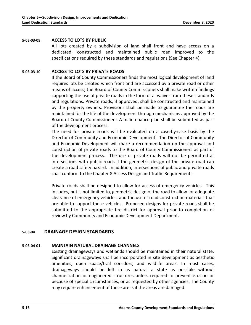#### **5-03-03-09 ACCESS TO LOTS BY PUBLIC**

All lots created by a subdivision of land shall front and have access on a dedicated, constructed and maintained public road improved to the specifications required by these standards and regulations (See Chapter 4).

#### **5-03-03-10 ACCESS TO LOTS BY PRIVATE ROADS**

If the Board of County Commissioners finds the most logical development of land requires lots be created which front and are accessed by a private road or other means of access, the Board of County Commissioners shall make written findings supporting the use of private roads in the form of a waiver from these standards and regulations. Private roads, if approved, shall be constructed and maintained by the property owners. Provisions shall be made to guarantee the roads are maintained for the life of the development through mechanisms approved by the Board of County Commissioners. A maintenance plan shall be submitted as part of the development process.

The need for private roads will be evaluated on a case-by-case basis by the Director of Community and Economic Development. The Director of Community and Economic Development will make a recommendation on the approval and construction of private roads to the Board of County Commissioners as part of the development process. The use of private roads will not be permitted at intersections with public roads if the geometric design of the private road can create a road safety hazard. In addition, intersections of public and private roads shall conform to the Chapter 8 Access Design and Traffic Requirements.

Private roads shall be designed to allow for access of emergency vehicles. This includes, but is not limited to, geometric design of the road to allow for adequate clearance of emergency vehicles, and the use of road construction materials that are able to support these vehicles. Proposed designs for private roads shall be submitted to the appropriate fire district for approval prior to completion of review by Community and Economic Development Department.

#### **5-03-04 DRAINAGE DESIGN STANDARDS**

#### **5-03-04-01 MAINTAIN NATURAL DRAINAGE CHANNELS**

Existing drainageways and wetlands should be maintained in their natural state. Significant drainageways shall be incorporated in site development as aesthetic amenities, open space/trail corridors, and wildlife areas. In most cases, drainageways should be left in as natural a state as possible without channelization or engineered structures unless required to prevent erosion or because of special circumstances, or as requested by other agencies. The County may require enhancement of these areas if the areas are damaged.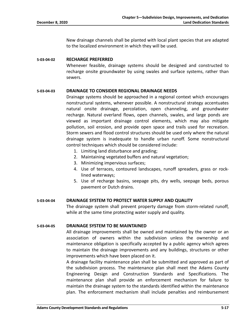New drainage channels shall be planted with local plant species that are adapted to the localized environment in which they will be used.

#### **5-03-04-02 RECHARGE PREFERRED**

Whenever feasible, drainage systems should be designed and constructed to recharge onsite groundwater by using swales and surface systems, rather than sewers.

#### **5-03-04-03 DRAINAGE TO CONSIDER REGIONAL DRAINAGE NEEDS**

Drainage systems should be approached in a regional context which encourages nonstructural systems, whenever possible. A nonstructural strategy accentuates natural onsite drainage, percolation, open channeling, and groundwater recharge. Natural overland flows, open channels, swales, and large ponds are viewed as important drainage control elements, which may also mitigate pollution, soil erosion, and provide open space and trails used for recreation. Storm sewers and flood control structures should be used only where the natural drainage system is inadequate to handle urban runoff. Some nonstructural control techniques which should be considered include:

- 1. Limiting land disturbance and grading;
- 2. Maintaining vegetated buffers and natural vegetation;
- 3. Minimizing impervious surfaces;
- 4. Use of terraces, contoured landscapes, runoff spreaders, grass or rocklined waterways;
- 5. Use of recharge basins, seepage pits, dry wells, seepage beds, porous pavement or Dutch drains.

#### **5-03-04-04 DRAINAGE SYSTEM TO PROTECT WATER SUPPLY AND QUALITY**

The drainage system shall prevent property damage from storm-related runoff, while at the same time protecting water supply and quality.

#### **5-03-04-05 DRAINAGE SYSTEM TO BE MAINTAINED**

All drainage improvements shall be owned and maintained by the owner or an association of owners within the subdivision unless the ownership and maintenance obligation is specifically accepted by a public agency which agrees to maintain the drainage improvements and any buildings, structures or other improvements which have been placed on it.

A drainage facility maintenance plan shall be submitted and approved as part of the subdivision process. The maintenance plan shall meet the Adams County Engineering Design and Construction Standards and Specifications. The maintenance plan shall provide an enforcement mechanism for failure to maintain the drainage system to the standards identified within the maintenance plan. The enforcement mechanism shall include penalties and reimbursement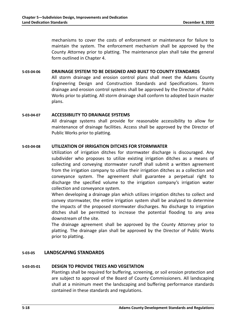mechanisms to cover the costs of enforcement or maintenance for failure to maintain the system. The enforcement mechanism shall be approved by the County Attorney prior to platting. The maintenance plan shall take the general form outlined in Chapter 4.

#### **5-03-04-06 DRAINAGE SYSTEM TO BE DESIGNED AND BUILT TO COUNTY STANDARDS**

All storm drainage and erosion control plans shall meet the Adams County Engineering Design and Construction Standards and Specifications. Storm drainage and erosion control systems shall be approved by the Director of Public Works prior to platting. All storm drainage shall conform to adopted basin master plans.

#### **5-03-04-07 ACCESSIBILITY TO DRAINAGE SYSTEMS**

All drainage systems shall provide for reasonable accessibility to allow for maintenance of drainage facilities. Access shall be approved by the Director of Public Works prior to platting.

# **5-03-04-08 UTILIZATION OF IRRIGATION DITCHES FOR STORMWATER**

Utilization of irrigation ditches for stormwater discharge is discouraged. Any subdivider who proposes to utilize existing irrigation ditches as a means of collecting and conveying stormwater runoff shall submit a written agreement from the irrigation company to utilize their irrigation ditches as a collection and conveyance system. The agreement shall guarantee a perpetual right to discharge the specified volume to the irrigation company's irrigation water collection and conveyance system.

When developing a drainage plan which utilizes irrigation ditches to collect and convey stormwater, the entire irrigation system shall be analyzed to determine the impacts of the proposed stormwater discharges. No discharge to irrigation ditches shall be permitted to increase the potential flooding to any area downstream of the site.

The drainage agreement shall be approved by the County Attorney prior to platting. The drainage plan shall be approved by the Director of Public Works prior to platting.

# **5-03-05 LANDSCAPING STANDARDS**

#### **5-03-05-01 DESIGN TO PROVIDE TREES AND VEGETATION**

Plantings shall be required for buffering, screening, or soil erosion protection and are subject to approval of the Board of County Commissioners. All landscaping shall at a minimum meet the landscaping and buffering performance standards contained in these standards and regulations.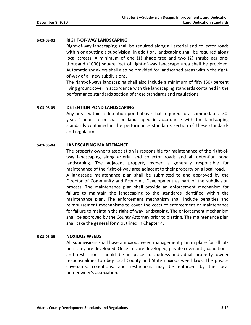#### **5-03-05-02 RIGHT-OF-WAY LANDSCAPING**

Right-of-way landscaping shall be required along all arterial and collector roads within or abutting a subdivision. In addition, landscaping shall be required along local streets. A minimum of one (1) shade tree and two (2) shrubs per onethousand (1000) square feet of right-of-way landscape area shall be provided. Automatic sprinklers shall also be provided for landscaped areas within the rightof-way of all new subdivisions.

The right-of-ways landscaping shall also include a minimum of fifty (50) percent living groundcover in accordance with the landscaping standards contained in the performance standards section of these standards and regulations.

#### **5-03-05-03 DETENTION POND LANDSCAPING**

Any areas within a detention pond above that required to accommodate a 50 year, 2-hour storm shall be landscaped in accordance with the landscaping standards contained in the performance standards section of these standards and regulations.

#### **5-03-05-04 LANDSCAPING MAINTENANCE**

The property owner's association is responsible for maintenance of the right-ofway landscaping along arterial and collector roads and all detention pond landscaping. The adjacent property owner is generally responsible for maintenance of the right-of-way area adjacent to their property on a local road. A landscape maintenance plan shall be submitted to and approved by the Director of Community and Economic Development as part of the subdivision process. The maintenance plan shall provide an enforcement mechanism for failure to maintain the landscaping to the standards identified within the maintenance plan. The enforcement mechanism shall include penalties and reimbursement mechanisms to cover the costs of enforcement or maintenance for failure to maintain the right-of-way landscaping. The enforcement mechanism shall be approved by the County Attorney prior to platting. The maintenance plan shall take the general form outlined in Chapter 4.

#### **5-03-05-05 NOXIOUS WEEDS**

All subdivisions shall have a noxious weed management plan in place for all lots until they are developed. Once lots are developed, private covenants, conditions, and restrictions should be in place to address individual property owner responsibilities to obey local County and State noxious weed laws. The private covenants, conditions, and restrictions may be enforced by the local homeowner's association.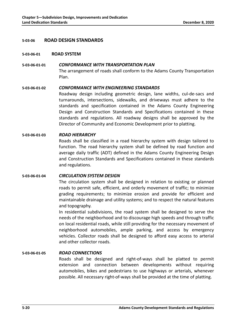#### **5-03-06 ROAD DESIGN STANDARDS**

#### **5-03-06-01 ROAD SYSTEM**

# **5-03-06-01-01** *CONFORMANCE WITH TRANSPORTATION PLAN* The arrangement of roads shall conform to the Adams County Transportation Plan.

#### **5-03-06-01-02** *CONFORMANCE WITH ENGINEERING STANDARDS*

Roadway design including geometric design, lane widths, cul-de-sacs and turnarounds, intersections, sidewalks, and driveways must adhere to the standards and specification contained in the Adams County Engineering Design and Construction Standards and Specifications contained in these standards and regulations. All roadway designs shall be approved by the Director of Community and Economic Development prior to platting.

#### **5-03-06-01-03** *ROAD HIERARCHY*

Roads shall be classified in a road hierarchy system with design tailored to function. The road hierarchy system shall be defined by road function and average daily traffic (ADT) defined in the Adams County Engineering Design and Construction Standards and Specifications contained in these standards and regulations.

#### **5-03-06-01-04** *CIRCULATION SYSTEM DESIGN*

The circulation system shall be designed in relation to existing or planned roads to permit safe, efficient, and orderly movement of traffic; to minimize grading requirements; to minimize erosion and provide for efficient and maintainable drainage and utility systems; and to respect the natural features and topography.

In residential subdivisions, the road system shall be designed to serve the needs of the neighborhood and to discourage high speeds and through traffic on local residential roads, while still providing for the necessary movement of neighborhood automobiles, ample parking, and access by emergency vehicles. Collector roads shall be designed to afford easy access to arterial and other collector roads.

#### **5-03-06-01-05** *ROAD CONNECTIONS*

Roads shall be designed and right-of-ways shall be platted to permit extension and connection between developments without requiring automobiles, bikes and pedestrians to use highways or arterials, whenever possible. All necessary right-of-ways shall be provided at the time of platting.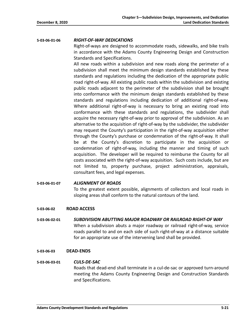#### **5-03-06-01-06** *RIGHT-OF-WAY DEDICATIONS*

Right-of-ways are designed to accommodate roads, sidewalks, and bike trails in accordance with the Adams County Engineering Design and Construction Standards and Specifications.

All new roads within a subdivision and new roads along the perimeter of a subdivision shall meet the minimum design standards established by these standards and regulations including the dedication of the appropriate public road right-of-way. All existing public roads within the subdivision and existing public roads adjacent to the perimeter of the subdivision shall be brought into conformance with the minimum design standards established by these standards and regulations including dedication of additional right-of-way. Where additional right-of-way is necessary to bring an existing road into conformance with these standards and regulations, the subdivider shall acquire the necessary right-of-way prior to approval of the subdivision. As an alternative to the acquisition of right-of-way by the subdivider, the subdivider may request the County's participation in the right-of-way acquisition either through the County's purchase or condemnation of the right-of-way. It shall be at the County's discretion to participate in the acquisition or condemnation of right-of-way, including the manner and timing of such acquisition. The developer will be required to reimburse the County for all costs associated with the right-of-way acquisition. Such costs include, but are not limited to, property purchase, project administration, appraisals, consultant fees, and legal expenses.

#### **5-03-06-01-07** *ALIGNMENT OF ROADS*

To the greatest extent possible, alignments of collectors and local roads in sloping areas shall conform to the natural contours of the land.

#### **5-03-06-02 ROAD ACCESS**

**5-03-06-02-01** *SUBDIVISION ABUTTING MAJOR ROADWAY OR RAILROAD RIGHT-OF WAY* When a subdivision abuts a major roadway or railroad right-of-way, service roads parallel to and on each side of such right-of-way at a distance suitable for an appropriate use of the intervening land shall be provided.

#### **5-03-06-03 DEAD-ENDS**

#### **5-03-06-03-01** *CULS-DE-SAC*

Roads that dead-end shall terminate in a cul-de-sac or approved turn-around meeting the Adams County Engineering Design and Construction Standards and Specifications.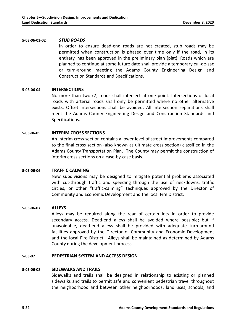#### **5-03-06-03-02** *STUB ROADS*

In order to ensure dead-end roads are not created, stub roads may be permitted when construction is phased over time only if the road, in its entirety, has been approved in the preliminary plan (plat). Roads which are planned to continue at some future date shall provide a temporary cul-de-sac or turn-around meeting the Adams County Engineering Design and Construction Standards and Specifications.

#### **5-03-06-04 INTERSECTIONS**

No more than two (2) roads shall intersect at one point. Intersections of local roads with arterial roads shall only be permitted where no other alternative exists. Offset intersections shall be avoided. All intersection separations shall meet the Adams County Engineering Design and Construction Standards and Specifications.

#### **5-03-06-05 INTERIM CROSS SECTIONS**

An interim cross section contains a lower level of street improvements compared to the final cross section (also known as ultimate cross section) classified in the Adams County Transportation Plan. The County may permit the construction of interim cross sections on a case-by-case basis.

#### **5-03-06-06 TRAFFIC CALMING**

New subdivisions may be designed to mitigate potential problems associated with cut-through traffic and speeding through the use of neckdowns, traffic circles, or other "traffic-calming" techniques approved by the Director of Community and Economic Development and the local Fire District.

#### **5-03-06-07 ALLEYS**

Alleys may be required along the rear of certain lots in order to provide secondary access. Dead-end alleys shall be avoided where possible; but if unavoidable, dead-end alleys shall be provided with adequate turn-around facilities approved by the Director of Community and Economic Development and the local Fire District. Alleys shall be maintained as determined by Adams County during the development process.

# **5-03-07 PEDESTRIAN SYSTEM AND ACCESS DESIGN**

#### **5-03-06-08 SIDEWALKS AND TRAILS**

Sidewalks and trails shall be designed in relationship to existing or planned sidewalks and trails to permit safe and convenient pedestrian travel throughout the neighborhood and between other neighborhoods, land uses, schools, and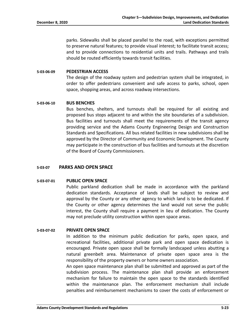parks. Sidewalks shall be placed parallel to the road, with exceptions permitted to preserve natural features; to provide visual interest; to facilitate transit access; and to provide connections to residential units and trails. Pathways and trails should be routed efficiently towards transit facilities.

#### **5-03-06-09 PEDESTRIAN ACCESS**

The design of the roadway system and pedestrian system shall be integrated, in order to offer pedestrians convenient and safe access to parks, school, open space, shopping areas, and across roadway intersections.

#### **5-03-06-10 BUS BENCHES**

Bus benches, shelters, and turnouts shall be required for all existing and proposed bus stops adjacent to and within the site boundaries of a subdivision. Bus facilities and turnouts shall meet the requirements of the transit agency providing service and the Adams County Engineering Design and Construction Standards and Specifications. All bus related facilities in new subdivisions shall be approved by the Director of Community and Economic Development. The County may participate in the construction of bus facilities and turnouts at the discretion of the Board of County Commissioners.

#### **5-03-07 PARKS AND OPEN SPACE**

# **5-03-07-01 PUBLIC OPEN SPACE**

Public parkland dedication shall be made in accordance with the parkland dedication standards. Acceptance of lands shall be subject to review and approval by the County or any other agency to which land is to be dedicated. If the County or other agency determines the land would not serve the public interest, the County shall require a payment in lieu of dedication. The County may not preclude utility construction within open space areas.

#### **5-03-07-02 PRIVATE OPEN SPACE**

In addition to the minimum public dedication for parks, open space, and recreational facilities, additional private park and open space dedication is encouraged. Private open space shall be formally landscaped unless abutting a natural greenbelt area. Maintenance of private open space area is the responsibility of the property owners or home owners association.

An open space maintenance plan shall be submitted and approved as part of the subdivision process. The maintenance plan shall provide an enforcement mechanism for failure to maintain the open space to the standards identified within the maintenance plan. The enforcement mechanism shall include penalties and reimbursement mechanisms to cover the costs of enforcement or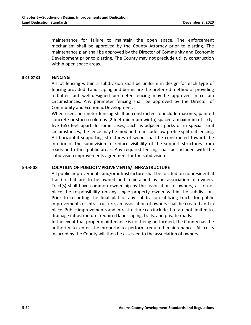maintenance for failure to maintain the open space. The enforcement mechanism shall be approved by the County Attorney prior to platting. The maintenance plan shall be approved by the Director of Community and Economic Development prior to platting. The County may not preclude utility construction within open space areas.

#### **5-03-07-03 FENCING**

All lot fencing within a subdivision shall be uniform in design for each type of fencing provided. Landscaping and berms are the preferred method of providing a buffer, but well-designed perimeter fencing may be approved in certain circumstances. Any perimeter fencing shall be approved by the Director of Community and Economic Development.

When used, perimeter fencing shall be constructed to include masonry, painted concrete or stucco columns (2 feet minimum width) spaced a maximum of sixtyfive (65) feet apart. In some cases, such as adjacent parks or in special rural circumstances, the fence may be modified to include low profile split rail fencing. All horizontal supporting structures of wood shall be constructed toward the interior of the subdivision to reduce visibility of the support structures from roads and other public areas. Any required fencing shall be included with the subdivision improvements agreement for the subdivision.

#### **5-03-08 LOCATION OF PUBLIC IMPROVEMENTS/ INFRASTRUCTURE**

All public improvements and/or infrastructure shall be located on nonresidential tract(s) that are to be owned and maintained by an association of owners. Tract(s) shall have common ownership by the association of owners, as to not place the responsibility on any single property owner within the subdivision. Prior to recording the final plat of any subdivision utilizing tracts for public improvements or infrastructure, an association of owners shall be created and in place. Public improvements and infrastructure can include, but are not limited to, drainage infrastructure, required landscaping, trails, and private roads. In the event that proper maintenance is not being performed, the County has the authority to enter the property to perform required maintenance. All costs

incurred by the County will then be assessed to the association of owners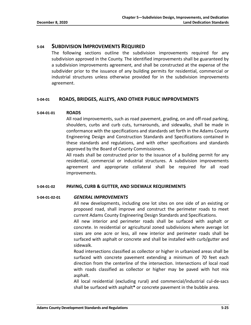# **5-04 SUBDIVISION IMPROVEMENTS REQUIRED**

The following sections outline the subdivision improvements required for any subdivision approved in the County. The identified improvements shall be guaranteed by a subdivision improvements agreement, and shall be constructed at the expense of the subdivider prior to the issuance of any building permits for residential, commercial or industrial structures unless otherwise provided for in the subdivision improvements agreement.

# **5-04-01 ROADS, BRIDGES, ALLEYS, AND OTHER PUBLIC IMPROVEMENTS**

# **5-04-01-01 ROADS**

All road improvements, such as road pavement, grading, on and off-road parking, shoulders, curbs and curb cuts, turnarounds, and sidewalks, shall be made in conformance with the specifications and standards set forth in the Adams County Engineering Design and Construction Standards and Specifications contained in these standards and regulations, and with other specifications and standards approved by the Board of County Commissioners.

All roads shall be constructed prior to the issuance of a building permit for any residential, commercial or industrial structures. A subdivision improvements agreement and appropriate collateral shall be required for all road improvements.

#### **5-04-01-02 PAVING, CURB & GUTTER, AND SIDEWALK REQUIREMENTS**

#### **5-04-01-02-01** *GENERAL IMPROVEMENTS*

All new developments, including one lot sites on one side of an existing or proposed road, shall improve and construct the perimeter roads to meet current Adams County Engineering Design Standards and Specifications.

All new interior and perimeter roads shall be surfaced with asphalt or concrete. In residential or agricultural zoned subdivisions where average lot sizes are one acre or less, all new interior and perimeter roads shall be surfaced with asphalt or concrete and shall be installed with curb/gutter and sidewalk.

Road intersections classified as collector or higher in urbanized areas shall be surfaced with concrete pavement extending a minimum of 70 feet each direction from the centerline of the intersection. Intersections of local road with roads classified as collector or higher may be paved with hot mix asphalt.

All local residential (excluding rural) and commercial/industrial cul-de-sacs shall be surfaced with asphalt**\*** or concrete pavement in the bubble area.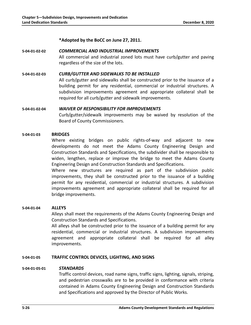**\*Adopted by the BoCC on June 27, 2011.**

**5-04-01-02-02** *COMMERCIAL AND INDUSTRIAL IMPROVEMENTS* All commercial and industrial zoned lots must have curb/gutter and paving regardless of the size of the lots.

# **5-04-01-02-03** *CURB/GUTTER AND SIDEWALKS TO BE INSTALLED*

All curb/gutter and sidewalks shall be constructed prior to the issuance of a building permit for any residential, commercial or industrial structures. A subdivision improvements agreement and appropriate collateral shall be required for all curb/gutter and sidewalk improvements.

#### **5-04-01-02-04** *WAIVER OF RESPONSIBILITY FOR IMPROVEMENTS*

Curb/gutter/sidewalk improvements may be waived by resolution of the Board of County Commissioners.

#### **5-04-01-03 BRIDGES**

Where existing bridges on public rights-of-way and adjacent to new developments do not meet the Adams County Engineering Design and Construction Standards and Specifications, the subdivider shall be responsible to widen, lengthen, replace or improve the bridge to meet the Adams County Engineering Design and Construction Standards and Specifications.

Where new structures are required as part of the subdivision public improvements, they shall be constructed prior to the issuance of a building permit for any residential, commercial or industrial structures. A subdivision improvements agreement and appropriate collateral shall be required for all bridge improvements.

#### **5-04-01-04 ALLEYS**

Alleys shall meet the requirements of the Adams County Engineering Design and Construction Standards and Specifications.

All alleys shall be constructed prior to the issuance of a building permit for any residential, commercial or industrial structures. A subdivision improvements agreement and appropriate collateral shall be required for all alley improvements.

# **5-04-01-05 TRAFFIC CONTROL DEVICES, LIGHTING, AND SIGNS**

#### **5-04-01-05-01** *STANDARDS*

Traffic control devices, road name signs, traffic signs, lighting, signals, striping, and pedestrian crosswalks are to be provided in conformance with criteria contained in Adams County Engineering Design and Construction Standards and Specifications and approved by the Director of Public Works.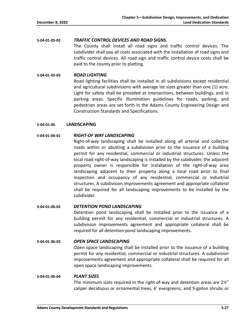**5-04-01-05-02** *TRAFFIC CONTROL DEVICES AND ROAD SIGNS.* The County shall install all road signs and traffic control devices. The subdivider shall pay all costs associated with the installation of road signs and traffic control devices. All road sign and traffic control device costs shall be paid to the county prior to platting.

#### **5-04-01-05-03** *ROAD LIGHTING*

Road lighting facilities shall be installed in all subdivisions except residential and agricultural subdivisions with average lot sizes greater than one (1) acre. Light for safety shall be provided at intersections, between buildings, and in parking areas. Specific illumination guidelines for roads, parking, and pedestrian areas are set forth in the Adams County Engineering Design and Construction Standards and Specifications.

#### **5-04-01-06 LANDSCAPING**

#### **5-04-01-06-01** *RIGHT-OF WAY LANDSCAPING*

Right-of-way landscaping shall be installed along all arterial and collector roads within or abutting a subdivision prior to the issuance of a building permit for any residential, commercial or industrial structures. Unless the local road right-of-way landscaping is installed by the subdivider, the adjacent property owner is responsible for installation of the right-of-way area landscaping adjacent to their property along a local road prior to final inspection and occupancy of any residential, commercial or industrial structures. A subdivision improvements agreement and appropriate collateral shall be required for all landscaping improvements to be installed by the subdivider.

#### **5-04-01-06-02** *DETENTION POND LANDSCAPING*

Detention pond landscaping shall be installed prior to the issuance of a building permit for any residential, commercial or industrial structures. A subdivision improvements agreement and appropriate collateral shall be required for all detention pond landscaping improvements.

#### **5-04-01-06-03** *OPEN SPACE LANDSCAPING*

Open space landscaping shall be installed prior to the issuance of a building permit for any residential, commercial or industrial structures. A subdivision improvements agreement and appropriate collateral shall be required for all open space landscaping improvements.

#### **5-04-01-06-04** *PLANT SIZES*

The minimum sizes required in the right-of-way and detention areas are 2½" caliper deciduous or ornamental trees, 6' evergreens, and 5-gallon shrubs or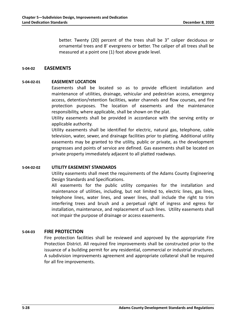better. Twenty (20) percent of the trees shall be 3" caliper deciduous or ornamental trees and 8' evergreens or better. The caliper of all trees shall be measured at a point one (1) foot above grade level.

#### **5-04-02 EASEMENTS**

# **5-04-02-01 EASEMENT LOCATION**

Easements shall be located so as to provide efficient installation and maintenance of utilities, drainage, vehicular and pedestrian access, emergency access, detention/retention facilities, water channels and flow courses, and fire protection purposes. The location of easements and the maintenance responsibility, where applicable, shall be shown on the plat.

Utility easements shall be provided in accordance with the serving entity or applicable authority.

Utility easements shall be identified for electric, natural gas, telephone, cable television, water, sewer, and drainage facilities prior to platting. Additional utility easements may be granted to the utility, public or private, as the development progresses and points of service are defined. Gas easements shall be located on private property immediately adjacent to all platted roadways.

#### **5-04-02-02 UTILITY EASEMENT STANDARDS**

Utility easements shall meet the requirements of the Adams County Engineering Design Standards and Specifications.

All easements for the public utility companies for the installation and maintenance of utilities, including, but not limited to, electric lines, gas lines, telephone lines, water lines, and sewer lines, shall include the right to trim interfering trees and brush and a perpetual right of ingress and egress for installation, maintenance, and replacement of such lines. Utility easements shall not impair the purpose of drainage or access easements.

#### **5-04-03 FIRE PROTECTION**

Fire protection facilities shall be reviewed and approved by the appropriate Fire Protection District. All required fire improvements shall be constructed prior to the issuance of a building permit for any residential, commercial or industrial structures. A subdivision improvements agreement and appropriate collateral shall be required for all fire improvements.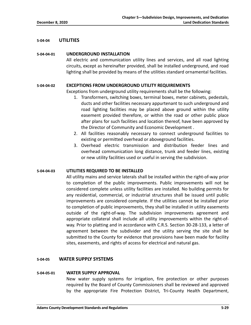# **5-04-04 UTILITIES**

#### **5-04-04-01 UNDERGROUND INSTALLATION**

All electric and communication utility lines and services, and all road lighting circuits, except as hereinafter provided, shall be installed underground, and road lighting shall be provided by means of the utilities standard ornamental facilities.

#### **5-04-04-02 EXCEPTIONS FROM UNDERGROUND UTILITY REQUIREMENTS**

Exceptions from underground utility requirements shall be the following:

- 1. Transformers, switching boxes, terminal boxes, meter cabinets, pedestals, ducts and other facilities necessary appurtenant to such underground and road lighting facilities may be placed above ground within the utility easement provided therefore, or within the road or other public place after plans for such facilities and location thereof, have been approved by the Director of Community and Economic Development .
- 2. All facilities reasonably necessary to connect underground facilities to existing or permitted overhead or aboveground facilities.
- 3. Overhead electric transmission and distribution feeder lines and overhead communication long distance, trunk and feeder lines, existing or new utility facilities used or useful in serving the subdivision.

#### **5-04-04-03 UTILITIES REQUIRED TO BE INSTALLED**

All utility mains and service laterals shall be installed within the right-of-way prior to completion of the public improvements. Public improvements will not be considered complete unless utility facilities are installed. No building permits for any residential, commercial, or industrial structures shall be issued until public improvements are considered complete. If the utilities cannot be installed prior to completion of public improvements, they shall be installed in utility easements outside of the right-of-way. The subdivision improvements agreement and appropriate collateral shall include all utility improvements within the right-ofway. Prior to platting and in accordance with C.R.S. Section 30-28-133, a letter of agreement between the subdivider and the utility serving the site shall be submitted to the County for evidence that provisions have been made for facility sites, easements, and rights of access for electrical and natural gas.

### **5-04-05 WATER SUPPLY SYSTEMS**

#### **5-04-05-01 WATER SUPPLY APPROVAL**

New water supply systems for irrigation, fire protection or other purposes required by the Board of County Commissioners shall be reviewed and approved by the appropriate Fire Protection District, Tri-County Health Department,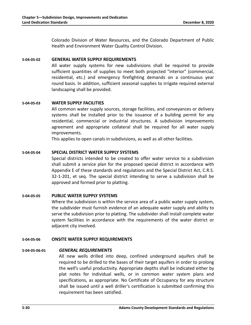Colorado Division of Water Resources, and the Colorado Department of Public Health and Environment Water Quality Control Division.

#### **5-04-05-02 GENERAL WATER SUPPLY REQUIREMENTS**

All water supply systems for new subdivisions shall be required to provide sufficient quantities of supplies to meet both projected "interior" (commercial, residential, etc.) and emergency firefighting demands on a continuous year round basis. In addition, sufficient seasonal supplies to irrigate required external landscaping shall be provided.

# **5-04-05-03 WATER SUPPLY FACILITIES**

All common water supply sources, storage facilities, and conveyances or delivery systems shall be installed prior to the issuance of a building permit for any residential, commercial or industrial structures. A subdivision improvements agreement and appropriate collateral shall be required for all water supply improvements.

This applies to open canals in subdivisions, as well as all other facilities.

# **5-04-05-04 SPECIAL DISTRICT WATER SUPPLY SYSTEMS**

Special districts intended to be created to offer water service to a subdivision shall submit a service plan for the proposed special district in accordance with Appendix E of these standards and regulations and the Special District Act, C.R.S. 32-1-201, et seq. The special district intending to serve a subdivision shall be approved and formed prior to platting.

#### **5-04-05-05 PUBLIC WATER SUPPLY SYSTEMS**

Where the subdivision is within the service area of a public water supply system, the subdivider must furnish evidence of an adequate water supply and ability to serve the subdivision prior to platting. The subdivider shall install complete water system facilities in accordance with the requirements of the water district or adjacent city involved.

#### **5-04-05-06 ONSITE WATER SUPPLY REQUIREMENTS**

#### **5-04-05-06-01** *GENERAL REQUIREMENTS*

All new wells drilled into deep, confined underground aquifers shall be required to be drilled to the bases of their target aquifers in order to prolong the well's useful productivity. Appropriate depths shall be indicated either by plat notes for individual wells, or in common water system plans and specifications, as appropriate. No Certificate of Occupancy for any structure shall be issued until a well driller's certification is submitted confirming this requirement has been satisfied.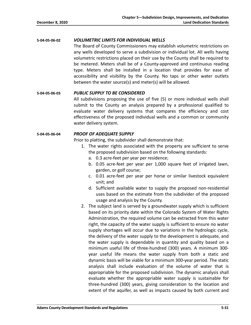**5-04-05-06-02** *VOLUMETRIC LIMITS FOR INDIVIDUAL WELLS*

The Board of County Commissioners may establish volumetric restrictions on any wells developed to serve a subdivision or individual lot. All wells having volumetric restrictions placed on their use by the County shall be required to be metered. Meters shall be of a County-approved and continuous reading type. Meters shall be installed in a location that provides for ease of accessibility and visibility by the County. No taps or other water outlets between the water source(s) and meter(s) will be allowed.

# **5-04-05-06-03** *PUBLIC SUPPLY TO BE CONSIDERED*

All subdivisions proposing the use of five (5) or more individual wells shall submit to the County an analysis prepared by a professional qualified to evaluate water delivery systems that compares the efficiency and cost effectiveness of the proposed individual wells and a common or community water delivery system.

# **5-04-05-06-04** *PROOF OF ADEQUATE SUPPLY*

Prior to platting, the subdivider shall demonstrate that:

- 1. The water rights associated with the property are sufficient to serve the proposed subdivision based on the following standards:
	- a. 0.3 acre-feet per year per residence;
	- b. 0.05 acre-feet per year per 1,000 square feet of irrigated lawn, garden, or golf course;
	- c. 0.01 acre-feet per year per horse or similar livestock equivalent unit; and
	- d. Sufficient available water to supply the proposed non-residential uses based on the estimate from the subdivider of the proposed usage and analysis by the County.
- 2. The subject land is served by a groundwater supply which is sufficient based on its priority date within the Colorado System of Water Rights Administration, the required volume can be extracted from this water right, the capacity of the water supply is sufficient to ensure no water supply shortages will occur due to variations in the hydrologic cycle, the delivery of the water supply to the development is adequate, and the water supply is dependable in quantity and quality based on a minimum useful life of three-hundred (300) years. A minimum 300 year useful life means the water supply from both a static and dynamic basis will be viable for a minimum 300-year period. The static analysis shall include evaluation of the volume of water that is appropriable for the proposed subdivision. The dynamic analysis shall evaluate whether the appropriable water supply is sustainable for three-hundred (300) years, giving consideration to the location and extent of the aquifer, as well as impacts caused by both current and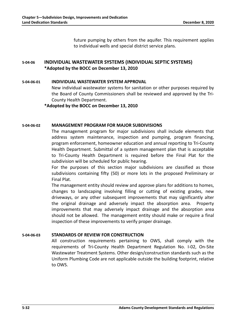future pumping by others from the aquifer. This requirement applies to individual wells and special district service plans.

# **5-04-06 INDIVIDUAL WASTEWATER SYSTEMS (INDIVIDUAL SEPTIC SYSTEMS) \*Adopted by the BOCC on December 13, 2010**

#### **5-04-06-01 INDIVIDUAL WASTEWATER SYSTEM APPROVAL**

New individual wastewater systems for sanitation or other purposes required by the Board of County Commissioners shall be reviewed and approved by the Tri-County Health Department.

**\*Adopted by the BOCC on December 13, 2010**

# **5-04-06-02 MANAGEMENT PROGRAM FOR MAJOR SUBDIVISIONS**

The management program for major subdivisions shall include elements that address system maintenance, inspection and pumping, program financing, program enforcement, homeowner education and annual reporting to Tri-County Health Department. Submittal of a system management plan that is acceptable to Tri-County Health Department is required before the Final Plat for the subdivision will be scheduled for public hearing.

For the purposes of this section major subdivisions are classified as those subdivisions containing fifty (50) or more lots in the proposed Preliminary or Final Plat.

The management entity should review and approve plans for additions to homes, changes to landscaping involving filling or cutting of existing grades, new driveways, or any other subsequent improvements that may significantly alter the original drainage and adversely impact the absorption area. Property improvements that may adversely impact drainage and the absorption area should not be allowed. The management entity should make or require a final inspection of these improvements to verify proper drainage.

# **5-04-06-03 STANDARDS OF REVIEW FOR CONSTRUCTION**

All construction requirements pertaining to OWS, shall comply with the requirements of Tri-County Health Department Regulation No. I-02, On-Site Wastewater Treatment Systems. Other design/construction standards such as the Uniform Plumbing Code are not applicable outside the building footprint, relative to OWS.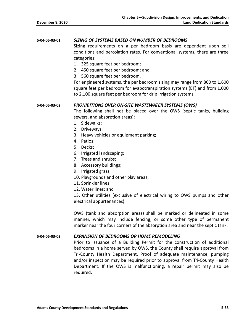#### **5-04-06-03-01** *SIZING OF SYSTEMS BASED ON NUMBER OF BEDROOMS*

Sizing requirements on a per bedroom basis are dependent upon soil conditions and percolation rates. For conventional systems, there are three categories:

- 1. 325 square feet per bedroom;
- 2. 450 square feet per bedroom; and
- 3. 560 square feet per bedroom.

For engineered systems, the per bedroom sizing may range from 800 to 1,600 square feet per bedroom for evapotranspiration systems (ET) and from 1,000 to 2,100 square feet per bedroom for drip irrigation systems.

#### **5-04-06-03-02** *PROHIBITIONS OVER ON-SITE WASTEWATER SYSTEMS (OWS)*

The following shall not be placed over the OWS (septic tanks, building sewers, and absorption areas):

- 1. Sidewalks;
- 2. Driveways;
- 3. Heavy vehicles or equipment parking;
- 4. Patios;
- 5. Decks;
- 6. Irrigated landscaping;
- 7. Trees and shrubs;
- 8. Accessory buildings;
- 9. Irrigated grass;
- 10. Playgrounds and other play areas;
- 11. Sprinkler lines;
- 12. Water lines; and

13. Other utilities (exclusive of electrical wiring to OWS pumps and other electrical appurtenances)

OWS (tank and absorption areas) shall be marked or delineated in some manner, which may include fencing, or some other type of permanent marker near the four corners of the absorption area and near the septic tank.

#### **5-04-06-03-03** *EXPANSION OF BEDROOMS OR HOME REMODELING*

Prior to issuance of a Building Permit for the construction of additional bedrooms in a home served by OWS, the County shall require approval from Tri-County Health Department. Proof of adequate maintenance, pumping and/or inspection may be required prior to approval from Tri-County Health Department. If the OWS is malfunctioning, a repair permit may also be required.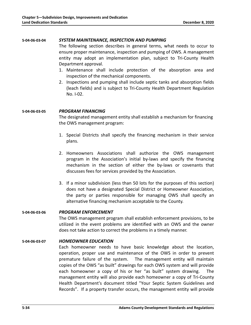#### **5-04-06-03-04** *SYSTEM MAINTENANCE, INSPECTION AND PUMPING*

The following section describes in general terms, what needs to occur to ensure proper maintenance, inspection and pumping of OWS. A management entity may adopt an implementation plan, subject to Tri-County Health Department approval.

- 1. Maintenance shall include protection of the absorption area and inspection of the mechanical components.
- 2. Inspections and pumping shall include septic tanks and absorption fields (leach fields) and is subject to Tri-County Health Department Regulation No. I-02.

#### **5-04-06-03-05** *PROGRAM FINANCING*

The designated management entity shall establish a mechanism for financing the OWS management program:

- 1. Special Districts shall specify the financing mechanism in their service plans.
- 2. Homeowners Associations shall authorize the OWS management program in the Association's initial by-laws and specify the financing mechanism in the section of either the by-laws or covenants that discusses fees for services provided by the Association.
- 3. If a minor subdivision (less than 50 lots for the purposes of this section) does not have a designated Special District or Homeowner Association, the party or parties responsible for managing OWS shall specify an alternative financing mechanism acceptable to the County.

#### **5-04-06-03-06** *PROGRAM ENFORCEMENT*

The OWS management program shall establish enforcement provisions, to be utilized in the event problems are identified with an OWS and the owner does not take action to correct the problems in a timely manner.

#### **5-04-06-03-07** *HOMEOWNER EDUCATION*

Each homeowner needs to have basic knowledge about the location, operation, proper use and maintenance of the OWS in order to prevent premature failure of the system. The management entity will maintain copies of the OWS "as built" drawings for each OWS system and will provide each homeowner a copy of his or her "as built" system drawing. The management entity will also provide each homeowner a copy of Tri-County Health Department's document titled "Your Septic System Guidelines and Records". If a property transfer occurs, the management entity will provide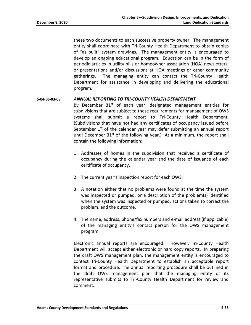these two documents to each successive property owner. The management entity shall coordinate with Tri-County Health Department to obtain copies of "as built" system drawings. The management entity is encouraged to develop an ongoing educational program. Education can be in the form of periodic articles in utility bills or homeowner association (HOA) newsletters, or presentations and/or discussions at HOA meetings or other community gatherings. The managing entity can contact the Tri-County Health Department for assistance in developing and delivering the educational program.

#### **5-04-06-03-08** *ANNUAL REPORTING TO TRI-COUNTY HEALTH DEPARTMENT*

By December 31<sup>st</sup> of each year, designated management entities for subdivisions that are subject to these requirements for management of OWS systems shall submit a report to Tri-County Health Department. (Subdivisions that have not had any certificates of occupancy issued before September  $1<sup>st</sup>$  of the calendar year may defer submitting an annual report until December  $31<sup>st</sup>$  of the following year.) At a minimum, the report shall contain the following information:

- 1. Addresses of homes in the subdivision that received a certificate of occupancy during the calendar year and the date of issuance of each certificate of occupancy.
- 2. The current year's inspection report for each OWS.
- 3. A notation either that no problems were found at the time the system was inspected or pumped, or a description of the problem(s) identified when the system was inspected or pumped, actions taken to correct the problem, and the outcome.
- 4. The name, address, phone/fax numbers and e-mail address (if applicable) of the managing entity's contact person for the OWS management program.

Electronic annual reports are encouraged. However, Tri-County Health Department will accept either electronic or hard copy reports. In preparing the draft OWS management plan, the management entity is encouraged to contact Tri-County Health Department to establish an acceptable report format and procedure. The annual reporting procedure shall be outlined in the draft OWS management plan that the managing entity or its representative submits to Tri-County Health Department for review and comment.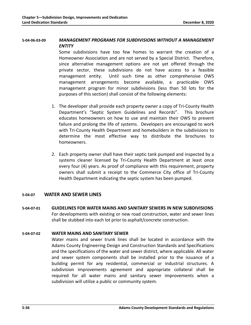# **5-04-06-03-09** *MANAGEMENT PROGRAMS FOR SUBDIVISIONS WITHOUT A MANAGEMENT ENTITY*

Some subdivisions have too few homes to warrant the creation of a Homeowner Association and are not served by a Special District. Therefore, since alternative management options are not yet offered through the private sector, these subdivisions do not have access to a feasible management entity. Until such time as other comprehensive OWS management arrangements become available, a practicable OWS management program for minor subdivisions (less than 50 lots for the purposes of this section) shall consist of the following elements:

- 1. The developer shall provide each property owner a copy of Tri-County Health Department's "Septic System Guidelines and Records". This brochure educates homeowners on how to use and maintain their OWS to prevent failure and prolong the life of systems. Developers are encouraged to work with Tri-County Health Department and homebuilders in the subdivisions to determine the most effective way to distribute the brochures to homeowners.
- 2. Each property owner shall have their septic tank pumped and inspected by a systems cleaner licensed by Tri-County Health Department at least once every four (4) years. As proof of compliance with this requirement, property owners shall submit a receipt to the Commerce City office of Tri-County Health Department indicating the septic system has been pumped.

# **5-04-07 WATER AND SEWER LINES**

**5-04-07-01 GUIDELINES FOR WATER MAINS AND SANITARY SEWERS IN NEW SUBDIVISIONS** For developments with existing or new road construction, water and sewer lines shall be stubbed into each lot prior to asphalt/concrete construction.

#### **5-04-07-02 WATER MAINS AND SANITARY SEWER**

Water mains and sewer trunk lines shall be located in accordance with the Adams County Engineering Design and Construction Standards and Specifications and the specifications of the water and sewer district, where applicable. All water and sewer system components shall be installed prior to the issuance of a building permit for any residential, commercial or industrial structures. A subdivision improvements agreement and appropriate collateral shall be required for all water mains and sanitary sewer improvements when a subdivision will utilize a public or community system.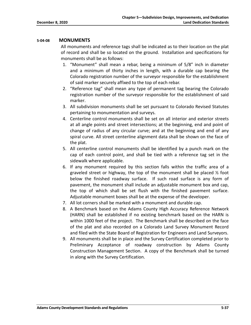#### **5-04-08 MONUMENTS**

All monuments and reference tags shall be indicated as to their location on the plat of record and shall be so located on the ground. Installation and specifications for monuments shall be as follows:

- 1. "Monument" shall mean a rebar, being a minimum of 5/8" inch in diameter and a minimum of thirty inches in length, with a durable cap bearing the Colorado registration number of the surveyor responsible for the establishment of said marker securely affixed to the top of each rebar.
- 2. "Reference tag" shall mean any type of permanent tag bearing the Colorado registration number of the surveyor responsible for the establishment of said marker.
- 3. All subdivision monuments shall be set pursuant to Colorado Revised Statutes pertaining to monumentation and surveys.
- 4. Centerline control monuments shall be set on all interior and exterior streets at all angle points and street intersections; at the beginning, end and point of change of radius of any circular curve; and at the beginning and end of any spiral curve. All street centerline alignment data shall be shown on the face of the plat.
- 5. All centerline control monuments shall be identified by a punch mark on the cap of each control point, and shall be tied with a reference tag set in the sidewalk where applicable.
- 6. If any monument required by this section falls within the traffic area of a graveled street or highway, the top of the monument shall be placed  $\frac{1}{2}$  foot below the finished roadway surface. If such road surface is any form of pavement, the monument shall include an adjustable monument box and cap, the top of which shall be set flush with the finished pavement surface. Adjustable monument boxes shall be at the expense of the developer.
- 7. All lot corners shall be marked with a monument and durable cap.
- 8. A Benchmark based on the Adams County High Accuracy Reference Network (HARN) shall be established if no existing benchmark based on the HARN is within 1000 feet of the project. The Benchmark shall be described on the face of the plat and also recorded on a Colorado Land Survey Monument Record and filed with the State Board of Registration for Engineers and Land Surveyors.
- 9. All monuments shall be in place and the Survey Certification completed prior to Preliminary Acceptance of roadway construction by Adams County Construction Management Section. A copy of the Benchmark shall be turned in along with the Survey Certification.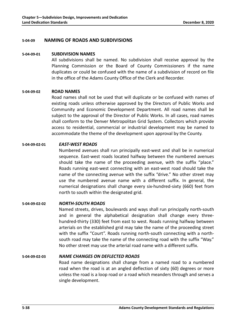#### **5-04-09 NAMING OF ROADS AND SUBDIVISIONS**

#### **5-04-09-01 SUBDIVISION NAMES**

All subdivisions shall be named. No subdivision shall receive approval by the Planning Commission or the Board of County Commissioners if the name duplicates or could be confused with the name of a subdivision of record on file in the office of the Adams County Office of the Clerk and Recorder.

#### **5-04-09-02 ROAD NAMES**

Road names shall not be used that will duplicate or be confused with names of existing roads unless otherwise approved by the Directors of Public Works and Community and Economic Development Department. All road names shall be subject to the approval of the Director of Public Works. In all cases, road names shall conform to the Denver Metropolitan Grid System. Collectors which provide access to residential, commercial or industrial development may be named to accommodate the theme of the development upon approval by the County.

#### **5-04-09-02-01** *EAST-WEST ROADS*

Numbered avenues shall run principally east-west and shall be in numerical sequence. East-west roads located halfway between the numbered avenues should take the name of the proceeding avenue, with the suffix "place." Roads running east-west connecting with an east-west road should take the name of the connecting avenue with the suffix "drive." No other street may use the numbered avenue name with a different suffix. In general, the numerical designations shall change every six-hundred-sixty (660) feet from north to south within the designated grid.

#### **5-04-09-02-02** *NORTH-SOUTH ROADS*

Named streets, drives, boulevards and ways shall run principally north-south and in general the alphabetical designation shall change every threehundred-thirty (330) feet from east to west. Roads running halfway between arterials on the established grid may take the name of the proceeding street with the suffix "Court". Roads running north-south connecting with a northsouth road may take the name of the connecting road with the suffix "Way." No other street may use the arterial road name with a different suffix.

# **5-04-09-02-03** *NAME CHANGES ON DEFLECTED ROADS*

Road name designations shall change from a named road to a numbered road when the road is at an angled deflection of sixty (60) degrees or more unless the road is a loop road or a road which meanders through and serves a single development.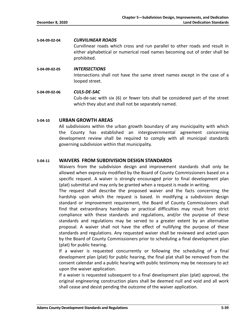#### **5-04-09-02-04** *CURVILINEAR ROADS*

Curvilinear roads which cross and run parallel to other roads and result in either alphabetical or numerical road names becoming out of order shall be prohibited.

**5-04-09-02-05** *INTERSECTIONS* Intersections shall not have the same street names except in the case of a looped street.

**5-04-09-02-06** *CULS-DE-SAC* Culs-de-sac with six (6) or fewer lots shall be considered part of the street which they abut and shall not be separately named.

# **5-04-10 URBAN GROWTH AREAS**

All subdivisions within the urban growth boundary of any municipality with which the County has established an intergovernmental agreement concerning development review shall be required to comply with all municipal standards governing subdivision within that municipality.

# **5-04-11 WAIVERS FROM SUBDIVISION DESIGN STANDARDS**

Waivers from the subdivision design and improvement standards shall only be allowed when expressly modified by the Board of County Commissioners based on a specific request. A waiver is strongly encouraged prior to final development plan (plat) submittal and may only be granted when a request is made in writing.

The request shall describe the proposed waiver and the facts concerning the hardship upon which the request is based. In modifying a subdivision design standard or improvement requirement, the Board of County Commissioners shall find that extraordinary hardships or practical difficulties may result from strict compliance with these standards and regulations, and/or the purpose of these standards and regulations may be served to a greater extent by an alternative proposal. A waiver shall not have the effect of nullifying the purpose of these standards and regulations. Any requested waiver shall be reviewed and acted upon by the Board of County Commissioners prior to scheduling a final development plan (plat) for public hearing.

If a waiver is requested concurrently or following the scheduling of a final development plan (plat) for public hearing, the final plat shall be removed from the consent calendar and a public hearing with public testimony may be necessary to act upon the waiver application.

If a waiver is requested subsequent to a final development plan (plat) approval, the original engineering construction plans shall be deemed null and void and all work shall cease and desist pending the outcome of the waiver application.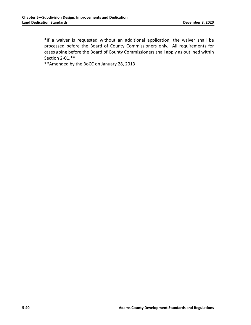**\***If a waiver is requested without an additional application, the waiver shall be processed before the Board of County Commissioners only. All requirements for cases going before the Board of County Commissioners shall apply as outlined within Section 2-01.\*\*

\*\*Amended by the BoCC on January 28, 2013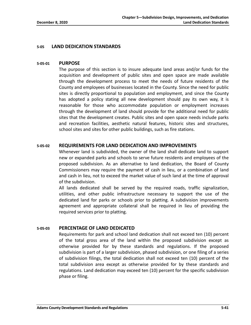# **5-05 LAND DEDICATION STANDARDS**

#### **5-05-01 PURPOSE**

The purpose of this section is to insure adequate land areas and/or funds for the acquisition and development of public sites and open space are made available through the development process to meet the needs of future residents of the County and employees of businesses located in the County. Since the need for public sites is directly proportional to population and employment, and since the County has adopted a policy stating all new development should pay its own way, it is reasonable for those who accommodate population or employment increases through the development of land should provide for the additional need for public sites that the development creates. Public sites and open space needs include parks and recreation facilities, aesthetic natural features, historic sites and structures, school sites and sites for other public buildings, such as fire stations.

# **5-05-02 REQUIREMENTS FOR LAND DEDICATION AND IMPROVEMENTS**

Whenever land is subdivided, the owner of the land shall dedicate land to support new or expanded parks and schools to serve future residents and employees of the proposed subdivision. As an alternative to land dedication, the Board of County Commissioners may require the payment of cash in lieu, or a combination of land and cash in lieu, not to exceed the market value of such land at the time of approval of the subdivision.

All lands dedicated shall be served by the required roads, traffic signalization, utilities, and other public infrastructure necessary to support the use of the dedicated land for parks or schools prior to platting. A subdivision improvements agreement and appropriate collateral shall be required in lieu of providing the required services prior to platting.

#### **5-05-03 PERCENTAGE OF LAND DEDICATED**

Requirements for park and school land dedication shall not exceed ten (10) percent of the total gross area of the land within the proposed subdivision except as otherwise provided for by these standards and regulations. If the proposed subdivision is part of a larger subdivision, phased subdivision, or one filing of a series of subdivision filings, the total dedication shall not exceed ten (10) percent of the total subdivision area except as otherwise provided for by these standards and regulations. Land dedication may exceed ten (10) percent for the specific subdivision phase or filing.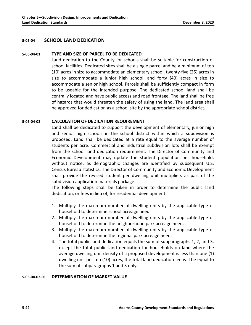#### **5-05-04 SCHOOL LAND DEDICATION**

#### **5-05-04-01 TYPE AND SIZE OF PARCEL TO BE DEDICATED**

Land dedication to the County for schools shall be suitable for construction of school facilities. Dedicated sites shall be a single parcel and be a minimum of ten (10) acres in size to accommodate an elementary school, twenty-five (25) acres in size to accommodate a junior high school, and forty (40) acres in size to accommodate a senior high school. Parcels shall be sufficiently compact in form to be useable for the intended purpose. The dedicated school land shall be centrally located and have public access and road frontage. The land shall be free of hazards that would threaten the safety of using the land. The land area shall be approved for dedication as a school site by the appropriate school district.

#### **5-05-04-02 CALCULATION OF DEDICATION REQUIREMENT**

Land shall be dedicated to support the development of elementary, junior high and senior high schools in the school district within which a subdivision is proposed. Land shall be dedicated at a rate equal to the average number of students per acre. Commercial and industrial subdivision lots shall be exempt from the school land dedication requirement. The Director of Community and Economic Development may update the student population per household, without notice, as demographic changes are identified by subsequent U.S. Census Bureau statistics. The Director of Community and Economic Development shall provide the revised student per dwelling unit multipliers as part of the subdivision application materials package.

The following steps shall be taken in order to determine the public land dedication, or fees in lieu of, for residential development.

- 1. Multiply the maximum number of dwelling units by the applicable type of household to determine school acreage need.
- 2. Multiply the maximum number of dwelling units by the applicable type of household to determine the neighborhood park acreage need.
- 3. Multiply the maximum number of dwelling units by the applicable type of household to determine the regional park acreage need.
- 4. The total public land dedication equals the sum of subparagraphs 1, 2, and 3, except the total public land dedication for households on land where the average dwelling unit density of a proposed development is less than one (1) dwelling unit per ten (10) acres, the total land dedication fee will be equal to the sum of subparagraphs 1 and 3 only.

#### **5-05-04-02-01 DETERMINATION OF MARKET VALUE**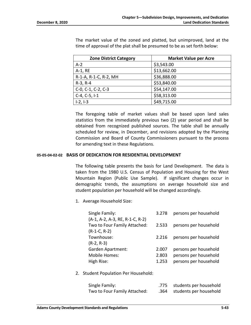| The market value of the zoned and platted, but unimproved, land at the   |
|--------------------------------------------------------------------------|
| time of approval of the plat shall be presumed to be as set forth below: |
|                                                                          |

| <b>Zone District Category</b> | <b>Market Value per Acre</b> |  |
|-------------------------------|------------------------------|--|
| $A-2$                         | \$3,543.00                   |  |
| A-1, RE                       | \$13,662.00                  |  |
| R-1-A, R-1-C, R-2, MH         | \$36,888.00                  |  |
| $R-3, R-4$                    | \$53,840.00                  |  |
| $C-0$ , $C-1$ , $C-2$ , $C-3$ | \$54,147.00                  |  |
| $C-4, C-5, I-1$               | \$58,313.00                  |  |
| $1-2, 1-3$                    | \$49,715.00                  |  |

The foregoing table of market values shall be based upon land sales statistics from the immediately previous two (2) year period and shall be obtained from recognized published sources. The table shall be annually scheduled for review, in December, and revisions adopted by the Planning Commission and Board of County Commissioners pursuant to the process for amending text in these Regulations.

#### **05-05-04-02-02 BASIS OF DEDICATION FOR RESIDENTIAL DEVELOPMENT**

The following table presents the basis for Land Development. The data is taken from the 1980 U.S. Census of Population and Housing for the West Mountain Region (Public Use Sample). If significant changes occur in demographic trends, the assumptions on average household size and student population per household will be changed accordingly.

1. Average Household Size:

| Single Family:                  | 3.278 | persons per household |
|---------------------------------|-------|-----------------------|
| (A-1, A-2, A-3, RE, R-1-C, R-2) |       |                       |
| Two to Four Family Attached:    | 2.533 | persons per household |
| $(R-1-C, R-2)$                  |       |                       |
| Townhouse:                      | 2.216 | persons per household |
| $(R-2, R-3)$                    |       |                       |
| <b>Garden Apartment:</b>        | 2.007 | persons per household |
| Mobile Homes:                   | 2.803 | persons per household |
| High Rise:                      | 1.253 | persons per household |
|                                 |       |                       |

2. Student Population Per Household:

| Single Family:               | .775 students per household |
|------------------------------|-----------------------------|
| Two to Four Family Attached: | .364 students per household |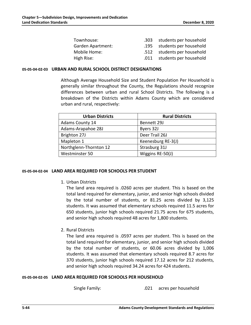| Townhouse:               |      | .303 students per household |
|--------------------------|------|-----------------------------|
| <b>Garden Apartment:</b> |      | .195 students per household |
| Mobile Home:             |      | .512 students per household |
| High Rise:               | .011 | students per household      |

#### **05-05-04-02-03 URBAN AND RURAL SCHOOL DISTRICT DESIGNATIONS**

Although Average Household Size and Student Population Per Household is generally similar throughout the County, the Regulations should recognize differences between urban and rural School Districts. The following is a breakdown of the Districts within Adams County which are considered urban and rural, respectively:

| <b>Urban Districts</b> | <b>Rural Districts</b> |  |
|------------------------|------------------------|--|
| <b>Adams County 14</b> | Bennett 29J            |  |
| Adams-Arapahoe 28J     | Byers 32J              |  |
| Brighton 27J           | Deer Trail 26J         |  |
| Mapleton 1             | Keenesburg RE-3(J)     |  |
| Northglenn-Thornton 12 | Strasburg 31J          |  |
| Westminster 50         | Wiggins RE-50(J)       |  |

#### **05-05-04-02-04 LAND AREA REQUIRED FOR SCHOOLS PER STUDENT**

1. Urban Districts

The land area required is .0260 acres per student. This is based on the total land required for elementary, junior, and senior high schools divided by the total number of students, or 81.25 acres divided by 3,125 students. It was assumed that elementary schools required 11.5 acres for 650 students, junior high schools required 21.75 acres for 675 students, and senior high schools required 48 acres for 1,800 students.

2. Rural Districts

The land area required is .0597 acres per student. This is based on the total land required for elementary, junior, and senior high schools divided by the total number of students, or 60.06 acres divided by 1,006 students. It was assumed that elementary schools required 8.7 acres for 370 students, junior high schools required 17.12 acres for 212 students, and senior high schools required 34.24 acres for 424 students.

#### **05-05-04-02-05 LAND AREA REQUIRED FOR SCHOOLS PER HOUSEHOLD**

Single Family: .021 acres per household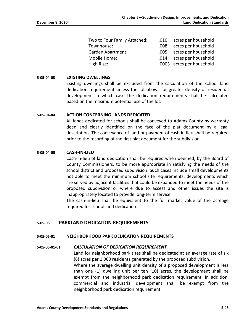| Two to Four Family Attached: | .010 | acres per household       |
|------------------------------|------|---------------------------|
| Townhouse:                   | .008 | acres per household       |
| <b>Garden Apartment:</b>     |      | .005 acres per household  |
| Mobile Home:                 |      | .014 acres per household  |
| High Rise:                   |      | .0003 acres per household |

#### **5-05-04-03 EXISTING DWELLINGS**

Existing dwellings shall be excluded from the calculation of the school land dedication requirement unless the lot allows for greater density of residential development in which case the dedication requirements shall be calculated based on the maximum potential use of the lot.

#### **5-05-04-04 ACTION CONCERNING LANDS DEDICATED**

All lands dedicated for schools shall be conveyed to Adams County by warranty deed and clearly identified on the face of the plat document by a legal description. The conveyance of land or payment of cash in lieu shall be required prior to the recording of the first plat document for the subdivision.

#### **5-05-04-05 CASH-IN-LIEU**

Cash-in-lieu of land dedication shall be required when deemed, by the Board of County Commissioners, to be more appropriate in satisfying the needs of the school district and proposed subdivision. Such cases include small developments not able to meet the minimum school site requirements, developments which are served by adjacent facilities that could be expanded to meet the needs of the proposed subdivision or where due to access and other issues the site is inappropriately located to provide long-term service.

The cash-in-lieu shall be equivalent to the full market value of the acreage required for school land dedication.

#### **5-05-05 PARKLAND DEDICATION REQUIREMENTS**

#### **5-05-05-01 NEIGHBORHOOD PARK DEDICATION REQUIREMENTS**

#### **5-05-05-01-01** *CALCULATION OF DEDICATION REQUIREMENT*

Land for neighborhood park sites shall be dedicated at an average rate of six (6) acres per 1,000 residents generated by the proposed subdivision.

Where the average dwelling unit density of a proposed development is less than one (1) dwelling unit per ten (10) acres, the development shall be exempt from the neighborhood park dedication requirement. In addition, commercial and industrial development shall be exempt from the neighborhood park dedication requirement.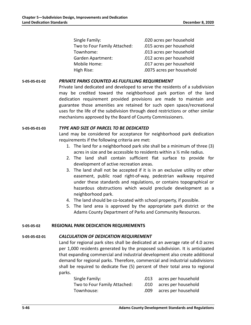| Single Family:               | .020 acres per household  |
|------------------------------|---------------------------|
| Two to Four Family Attached: | .015 acres per household  |
| Townhome:                    | .013 acres per household  |
| Garden Apartment:            | .012 acres per household  |
| Mobile Home:                 | .017 acres per household  |
| High Rise:                   | .0075 acres per household |
|                              |                           |

# **5-05-05-01-02** *PRIVATE PARKS COUNTED AS FULFILLING REQUIREMENT*

Private land dedicated and developed to serve the residents of a subdivision may be credited toward the neighborhood park portion of the land dedication requirement provided provisions are made to maintain and guarantee those amenities are retained for such open space/recreational uses for the life of the subdivision through deed restrictions or other similar mechanisms approved by the Board of County Commissioners.

# **5-05-05-01-03** *TYPE AND SIZE OF PARCEL TO BE DEDICATED*

Land may be considered for acceptance for neighborhood park dedication requirements if the following criteria are met:

- 1. The land for a neighborhood park site shall be a minimum of three (3) acres in size and be accessible to residents within a ½ mile radius.
- 2. The land shall contain sufficient flat surface to provide for development of active recreation areas.
- 3. The land shall not be accepted if it is in an exclusive utility or other easement, public road right-of-way, pedestrian walkway required under these standards and regulations, or contains topographical or hazardous obstructions which would preclude development as a neighborhood park.
- 4. The land should be co-located with school property, if possible.
- 5. The land area is approved by the appropriate park district or the Adams County Department of Parks and Community Resources.

# **5-05-05-02 REGIONAL PARK DEDICATION REQUIREMENTS**

#### **5-05-05-02-01** *CALCULATION OF DEDICATION REQUIREMENT*

Land for regional park sites shall be dedicated at an average rate of 4.0 acres per 1,000 residents generated by the proposed subdivision. It is anticipated that expanding commercial and industrial development also create additional demand for regional parks. Therefore, commercial and industrial subdivisions shall be required to dedicate five (5) percent of their total area to regional parks.

| Single Family:               |      | .013 acres per household |
|------------------------------|------|--------------------------|
| Two to Four Family Attached: |      | .010 acres per household |
| Townhouse:                   | .009 | acres per household      |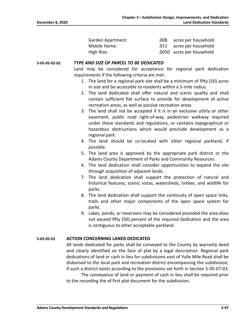| <b>Garden Apartment:</b> | .008 | acres per household       |
|--------------------------|------|---------------------------|
| Mobile Home:             |      | .011 acres per household  |
| High Rise:               |      | .0050 acres per household |

#### **5-05-05-02-02** *TYPE AND SIZE OF PARCEL TO BE DEDICATED*

Land may be considered for acceptance for regional park dedication requirements if the following criteria are met:

- 1. The land for a regional park site shall be a minimum of fifty (50) acres in size and be accessible to residents within a 5-mile radius.
- 2. The land dedicated shall offer natural and scenic quality and shall contain sufficient flat surface to provide for development of active recreation areas, as well as passive recreation areas.
- 3. The land shall not be accepted if it is in an exclusive utility or other easement, public road right-of-way, pedestrian walkway required under these standards and regulations, or contains topographical or hazardous obstructions which would preclude development as a regional park.
- 4. The land should be co-located with other regional parkland, if possible.
- 5. The land area is approved by the appropriate park district or the Adams County Department of Parks and Community Resources.
- 6. The land dedication shall consider opportunities to expand the site through acquisition of adjacent lands.
- 7. The land dedication shall support the protection of natural and historical features, scenic vistas, watersheds, timber, and wildlife for parks.
- 8. The land dedication shall support the continuity of open space links, trails and other major components of the open space system for parks.
- 9. Lakes, ponds, or reservoirs may be considered provided the area does not exceed fifty (50) percent of the required dedication and the area is contiguous to other acceptable parkland.

#### **5-05-05-03 ACTION CONCERNING LANDS DEDICATED**

All lands dedicated for parks shall be conveyed to the County by warranty deed and clearly identified on the face of plat by a legal description. Regional park dedications of land or cash in lieu for subdivisions east of Yulle Mile Road shall be disbursed to the local park and recreation district encompassing the subdivision, if such a district exists according to the provisions set forth in Section 5-05-07-03.

The conveyance of land or payment of cash in lieu shall be required prior to the recording the of first plat document for the subdivision.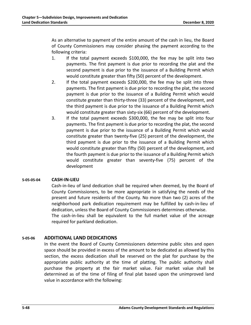As an alternative to payment of the entire amount of the cash in lieu, the Board of County Commissioners may consider phasing the payment according to the following criteria:

- 1. If the total payment exceeds \$100,000, the fee may be split into two payments. The first payment is due prior to recording the plat and the second payment is due prior to the issuance of a Building Permit which would constitute greater than fifty (50) percent of the development.
- 2. If the total payment exceeds \$200,000, the fee may be split into three payments. The first payment is due prior to recording the plat, the second payment is due prior to the issuance of a Building Permit which would constitute greater than thirty-three (33) percent of the development, and the third payment is due prior to the issuance of a Building Permit which would constitute greater than sixty-six (66) percent of the development.
- 3. If the total payment exceeds \$300,000, the fee may be split into four payments. The first payment is due prior to recording the plat, the second payment is due prior to the issuance of a Building Permit which would constitute greater than twenty-five (25) percent of the development, the third payment is due prior to the issuance of a Building Permit which would constitute greater than fifty (50) percent of the development, and the fourth payment is due prior to the issuance of a Building Permit which would constitute greater than seventy-five (75) percent of the development

# **5-05-05-04 CASH-IN-LIEU**

Cash-in-lieu of land dedication shall be required when deemed, by the Board of County Commissioners, to be more appropriate in satisfying the needs of the present and future residents of the County. No more than two (2) acres of the neighborhood park dedication requirement may be fulfilled by cash-in-lieu of dedication, unless the Board of County Commissioners determines otherwise. The cash-in-lieu shall be equivalent to the full market value of the acreage required for parkland dedication.

# **5-05-06 ADDITIONAL LAND DEDICATIONS**

In the event the Board of County Commissioners determine public sites and open space should be provided in excess of the amount to be dedicated as allowed by this section, the excess dedication shall be reserved on the plat for purchase by the appropriate public authority at the time of platting. The public authority shall purchase the property at the fair market value. Fair market value shall be determined as of the time of filing of final plat based upon the unimproved land value in accordance with the following: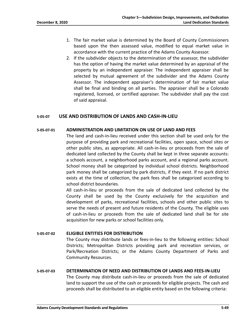- 1. The fair market value is determined by the Board of County Commissioners based upon the then assessed value, modified to equal market value in accordance with the current practice of the Adams County Assessor.
- 2. If the subdivider objects to the determination of the assessor, the subdivider has the option of having the market value determined by an appraisal of the property by an independent appraiser. The independent appraiser shall be selected by mutual agreement of the subdivider and the Adams County Assessor. The independent appraiser's determination of fair market value shall be final and binding on all parties. The appraiser shall be a Colorado registered, licensed, or certified appraiser. The subdivider shall pay the cost of said appraisal.

# **5-05-07 USE AND DISTRIBUTION OF LANDS AND CASH-IN-LIEU**

#### **5-05-07-01 ADMINISTRATION AND LIMITATION ON USE OF LAND AND FEES**

The land and cash-in-lieu received under this section shall be used only for the purpose of providing park and recreational facilities, open space, school sites or other public sites, as appropriate. All cash-in-lieu or proceeds from the sale of dedicated land collected by the County shall be kept in three separate accounts: a schools account, a neighborhood parks account, and a regional parks account. School money shall be categorized by individual school districts. Neighborhood park money shall be categorized by park districts, if they exist. If no park district exists at the time of collection, the park fees shall be categorized according to school district boundaries.

All cash-in-lieu or proceeds from the sale of dedicated land collected by the County shall be used by the County exclusively for the acquisition and development of parks, recreational facilities, schools and other public sites to serve the needs of present and future residents of the County. The eligible uses of cash-in-lieu or proceeds from the sale of dedicated land shall be for site acquisition for new parks or school facilities only.

#### **5-05-07-02 ELIGIBLE ENTITIES FOR DISTRIBUTION**

The County may distribute lands or fees-in-lieu to the following entities: School Districts; Metropolitan Districts providing park and recreation services, or Park/Recreation Districts; or the Adams County Department of Parks and Community Resources.

# **5-05-07-03 DETERMINATION OF NEED AND DISTRIBUTION OF LANDS AND FEES-IN-LIEU**

The County may distribute cash-in-lieu or proceeds from the sale of dedicated land to support the use of the cash or proceeds for eligible projects. The cash and proceeds shall be distributed to an eligible entity based on the following criteria: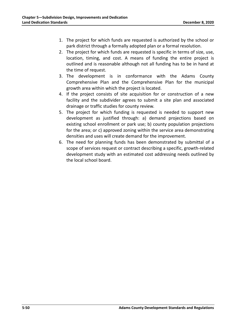- 1. The project for which funds are requested is authorized by the school or park district through a formally adopted plan or a formal resolution.
- 2. The project for which funds are requested is specific in terms of size, use, location, timing, and cost. A means of funding the entire project is outlined and is reasonable although not all funding has to be in hand at the time of request.
- 3. The development is in conformance with the Adams County Comprehensive Plan and the Comprehensive Plan for the municipal growth area within which the project is located.
- 4. If the project consists of site acquisition for or construction of a new facility and the subdivider agrees to submit a site plan and associated drainage or traffic studies for county review.
- 5. The project for which funding is requested is needed to support new development as justified through: a) demand projections based on existing school enrollment or park use; b) county population projections for the area; or c) approved zoning within the service area demonstrating densities and uses will create demand for the improvement.
- 6. The need for planning funds has been demonstrated by submittal of a scope of services request or contract describing a specific, growth-related development study with an estimated cost addressing needs outlined by the local school board.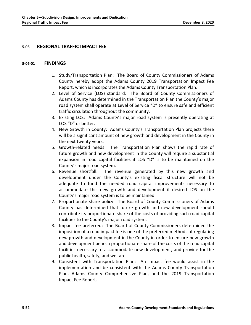# **5-06 REGIONAL TRAFFIC IMPACT FEE**

#### **5-06-01 FINDINGS**

- 1. Study/Transportation Plan: The Board of County Commissioners of Adams County hereby adopt the Adams County 2019 Transportation Impact Fee Report, which is incorporates the Adams County Transportation Plan.
- 2. Level of Service (LOS) standard: The Board of County Commissioners of Adams County has determined in the Transportation Plan the County's major road system shall operate at Level of Service "D" to ensure safe and efficient traffic circulation throughout the community.
- 3. Existing LOS: Adams County's major road system is presently operating at LOS "D" or better.
- 4. New Growth in County: Adams County's Transportation Plan projects there will be a significant amount of new growth and development in the County in the next twenty years.
- 5. Growth-related needs: The Transportation Plan shows the rapid rate of future growth and new development in the County will require a substantial expansion in road capital facilities if LOS "D" is to be maintained on the County's major road system.
- 6. Revenue shortfall: The revenue generated by this new growth and development under the County's existing fiscal structure will not be adequate to fund the needed road capital improvements necessary to accommodate this new growth and development if desired LOS on the County's major road system is to be maintained.
- 7. Proportionate share policy: The Board of County Commissioners of Adams County has determined that future growth and new development should contribute its proportionate share of the costs of providing such road capital facilities to the County's major road system.
- 8. Impact fee preferred: The Board of County Commissioners determined the imposition of a road impact fee is one of the preferred methods of regulating new growth and development in the County in order to ensure new growth and development bears a proportionate share of the costs of the road capital facilities necessary to accommodate new development, and provide for the public health, safety, and welfare.
- 9. Consistent with Transportation Plan: An impact fee would assist in the implementation and be consistent with the Adams County Transportation Plan, Adams County Comprehensive Plan, and the 2019 Transportation Impact Fee Report.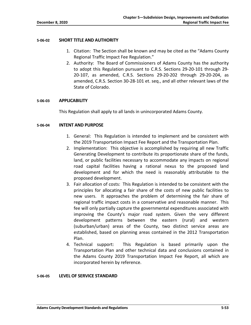#### **5-06-02 SHORT TITLE AND AUTHORITY**

- 1. Citation: The Section shall be known and may be cited as the "Adams County Regional Traffic Impact Fee Regulation."
- 2. Authority: The Board of Commissioners of Adams County has the authority to adopt this Regulation pursuant to C.R.S. Sections 29-20-101 through 29- 20-107, as amended, C.R.S. Sections 29-20-202 through 29-20-204, as amended, C.R.S. Section 30-28-101 et. seq., and all other relevant laws of the State of Colorado.

#### **5-06-03 APPLICABILITY**

This Regulation shall apply to all lands in unincorporated Adams County.

#### **5-06-04 INTENT AND PURPOSE**

- 1. General: This Regulation is intended to implement and be consistent with the 2019 Transportation Impact Fee Report and the Transportation Plan.
- 2. Implementation: This objective is accomplished by requiring all new Traffic Generating Development to contribute its proportionate share of the funds, land, or public facilities necessary to accommodate any impacts on regional road capital facilities having a rational nexus to the proposed land development and for which the need is reasonably attributable to the proposed development.
- 3. Fair allocation of costs: This Regulation is intended to be consistent with the principles for allocating a fair share of the costs of new public facilities to new users. It approaches the problem of determining the fair share of regional traffic impact costs in a conservative and reasonable manner. This fee will only partially capture the governmental expenditures associated with improving the County's major road system. Given the very different development patterns between the eastern (rural) and western (suburban/urban) areas of the County, two distinct service areas are established, based on planning areas contained in the 2012 Transportation Plan.
- 4. Technical support: This Regulation is based primarily upon the Transportation Plan and other technical data and conclusions contained in the Adams County 2019 Transportation Impact Fee Report, all which are incorporated herein by reference.

#### **5-06-05 LEVEL OF SERVICE STANDARD**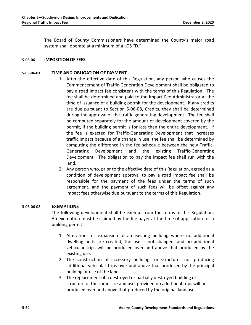The Board of County Commissioners have determined the County's major road system shall operate at a minimum of a LOS "D."

# **5-06-06 IMPOSITION OF FEES**

#### **5-06-06-01 TIME AND OBLIGATION OF PAYMENT**

- 1. After the effective date of this Regulation, any person who causes the Commencement of Traffic-Generation Development shall be obligated to pay a road impact fee consistent with the terms of this Regulation. The fee shall be determined and paid to the Impact Fee Administrator at the time of issuance of a building permit for the development. If any credits are due pursuant to Section 5-06-08, Credits, they shall be determined during the approval of the traffic generating development. The fee shall be computed separately for the amount of development covered by the permit, if the building permit is for less than the entire development. If the fee is exacted for Traffic-Generating Development that increases traffic impact because of a change in use, the fee shall be determined by computing the difference in the fee schedule between the new Traffic-Generating Development and the existing Traffic-Generating Development. The obligation to pay the impact fee shall run with the land.
- 2. Any person who, prior to the effective date of this Regulation, agreed as a condition of development approval to pay a road impact fee shall be responsible for the payment of the fees under the terms of such agreement, and the payment of such fees will be offset against any impact fees otherwise due pursuant to the terms of this Regulation.

#### **5-06-06-02 EXEMPTIONS**

The following development shall be exempt from the terms of this Regulation. An exemption must be claimed by the fee payer at the time of application for a building permit.

- 1. Alterations or expansion of an existing building where no additional dwelling units are created, the use is not changed, and no additional vehicular trips will be produced over and above that produced by the existing use.
- 2. The construction of accessory buildings or structures not producing additional vehicular trips over and above that produced by the principal building or use of the land.
- 3. The replacement of a destroyed or partially destroyed building or structure of the same size and use, provided no additional trips will be produced over and above that produced by the original land use.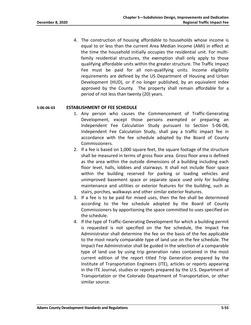4. The construction of housing affordable to households whose income is equal to or less than the current Area Median Income (AMI) in effect at the time the household initially occupies the residential unit. For multifamily residential structures, the exemption shall only apply to those qualifying affordable units within the greater structure. The Traffic Impact Fee must be paid for all non-qualifying units. Income eligibility requirements are defined by the US Department of Housing and Urban Development (HUD), or if no longer published, by an equivalent index approved by the County. The property shall remain affordable for a period of not less than twenty (20) years.

#### **5-06-06-03 ESTABLISHMENT OF FEE SCHEDULE**

- 1. Any person who causes the Commencement of Traffic-Generating Development, except those persons exempted or preparing an Independent Fee Calculation Study pursuant to Section 5-06-08, Independent Fee Calculation Study, shall pay a traffic impact fee in accordance with the fee schedule adopted by the Board of County Commissioners.
- 2. If a fee is based on 1,000 square feet, the square footage of the structure shall be measured in terms of gross floor area. Gross floor area is defined as the area within the outside dimensions of a building including each floor level, halls, lobbies and stairways. It shall not include floor space within the building reserved for parking or loading vehicles and unimproved basement space or separate space used only for building maintenance and utilities or exterior features for the building, such as stairs, porches, walkways and other similar exterior features.
- 3. If a fee is to be paid for mixed uses, then the fee shall be determined according to the fee schedule adopted by the Board of County Commissioners by apportioning the space committed to uses specified on the schedule.
- 4. If the type of Traffic-Generating Development for which a building permit is requested is not specified on the fee schedule, the Impact Fee Administrator shall determine the fee on the basis of the fee applicable to the most nearly comparable type of land use on the fee schedule. The Impact Fee Administrator shall be guided in the selection of a comparable type of land use by using trip generation rates contained in the most current edition of the report titled Trip Generation prepared by the Institute of Transportation Engineers (ITE), articles or reports appearing in the ITE Journal, studies or reports prepared by the U.S. Department of Transportation or the Colorado Department of Transportation, or other similar source.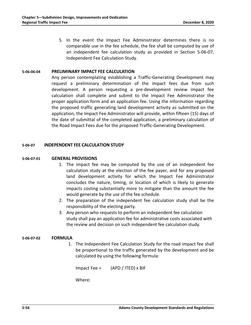5. In the event the Impact Fee Administrator determines there is no comparable use in the fee schedule, the fee shall be computed by use of an independent fee calculation study as provided in Section 5-06-07, Independent Fee Calculation Study.

#### **5-06-06-04 PRELIMINARY IMPACT FEE CALCULATION**

Any person contemplating establishing a Traffic-Generating Development may request a preliminary determination of the impact fees due from such development. A person requesting a pre-development review impact fee calculation shall complete and submit to the Impact Fee Administrator the proper application form and an application fee. Using the information regarding the proposed traffic generating land development activity as submitted on the application, the Impact Fee Administrator will provide, within fifteen (15) days of the date of submittal of the completed application, a preliminary calculation of the Road Impact Fees due for the proposed Traffic-Generating Development.

#### **5-06-07 INDEPENDENT FEE CALCULATION STUDY**

#### **5-06-07-01 GENERAL PROVISIONS**

- 1. The impact fee may be computed by the use of an independent fee calculation study at the election of the fee payer, and for any proposed land development activity for which the Impact Fee Administrator concludes the nature, timing, or location of which is likely to generate impacts costing substantially more to mitigate than the amount the fee would generate by the use of the fee schedule.
- 2. The preparation of the independent fee calculation study shall be the responsibility of the electing party.
- 3. Any person who requests to perform an independent fee calculation study shall pay an application fee for administrative costs associated with the review and decision on such independent fee calculation study.

#### **5-06-07-02 FORMULA**

1. The Independent Fee Calculation Study for the road impact fee shall be proportional to the traffic generated by the development and be calculated by using the following formula:

Impact Fee =  $(APD / ITED) \times BIF$ 

Where: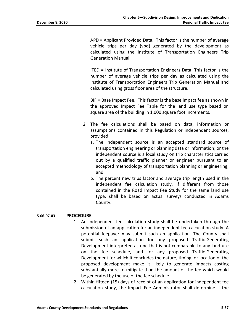APD = Applicant Provided Data. This factor is the number of average vehicle trips per day (vpd) generated by the development as calculated using the Institute of Transportation Engineers Trip Generation Manual.

ITED = Institute of Transportation Engineers Data: This factor is the number of average vehicle trips per day as calculated using the Institute of Transportation Engineers Trip Generation Manual and calculated using gross floor area of the structure.

BIF = Base Impact Fee. This factor is the base impact fee as shown in the approved Impact Fee Table for the land use type based on square area of the building in 1,000 square foot increments.

- 2. The fee calculations shall be based on data, information or assumptions contained in this Regulation or independent sources, provided:
	- a. The independent source is an accepted standard source of transportation engineering or planning data or information; or the independent source is a local study on trip characteristics carried out by a qualified traffic planner or engineer pursuant to an accepted methodology of transportation planning or engineering; and
	- b. The percent new trips factor and average trip length used in the independent fee calculation study, if different from those contained in the Road Impact Fee Study for the same land use type, shall be based on actual surveys conducted in Adams County.

#### **5-06-07-03 PROCEDURE**

- 1. An independent fee calculation study shall be undertaken through the submission of an application for an independent fee calculation study. A potential feepayer may submit such an application. The County shall submit such an application for any proposed Traffic-Generating Development interpreted as one that is not comparable to any land use on the fee schedule, and for any proposed Traffic-Generating Development for which it concludes the nature, timing, or location of the proposed development make it likely to generate impacts costing substantially more to mitigate than the amount of the fee which would be generated by the use of the fee schedule.
- 2. Within fifteen (15) days of receipt of an application for independent fee calculation study, the Impact Fee Administrator shall determine if the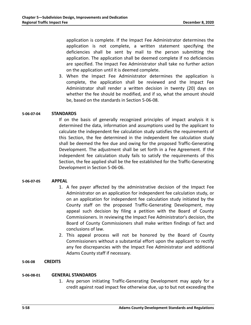application is complete. If the Impact Fee Administrator determines the application is not complete, a written statement specifying the deficiencies shall be sent by mail to the person submitting the application. The application shall be deemed complete if no deficiencies are specified. The Impact Fee Administrator shall take no further action on the application until it is deemed complete.

3. When the Impact Fee Administrator determines the application is complete, the application shall be reviewed and the Impact Fee Administrator shall render a written decision in twenty (20) days on whether the fee should be modified, and if so, what the amount should be, based on the standards in Section 5-06-08.

# **5-06-07-04 STANDARDS**

If on the basis of generally recognized principles of impact analysis it is determined the data, information and assumptions used by the applicant to calculate the independent fee calculation study satisfies the requirements of this Section, the fee determined in the independent fee calculation study shall be deemed the fee due and owing for the proposed Traffic-Generating Development. The adjustment shall be set forth in a Fee Agreement. If the independent fee calculation study fails to satisfy the requirements of this Section, the fee applied shall be the fee established for the Traffic-Generating Development in Section 5-06-06.

#### **5-06-07-05 APPEAL**

- 1. A fee payer affected by the administrative decision of the Impact Fee Administrator on an application for independent fee calculation study, or on an application for independent fee calculation study initiated by the County staff on the proposed Traffic-Generating Development, may appeal such decision by filing a petition with the Board of County Commissioners. In reviewing the Impact Fee Administrator's decision, the Board of County Commissioners shall make written findings of fact and conclusions of law.
- 2. This appeal process will not be honored by the Board of County Commissioners without a substantial effort upon the applicant to rectify any fee discrepancies with the Impact Fee Administrator and additional Adams County staff if necessary.

# **5-06-08 CREDITS**

#### **5-06-08-01 GENERAL STANDARDS**

1. Any person initiating Traffic-Generating Development may apply for a credit against road impact fee otherwise due, up to but not exceeding the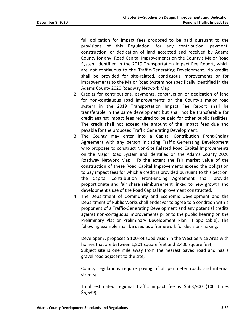full obligation for impact fees proposed to be paid pursuant to the provisions of this Regulation, for any contribution, payment, construction, or dedication of land accepted and received by Adams County for any Road Capital Improvements on the County's Major Road System identified in the 2019 Transportation Impact Fee Report, which are not contiguous to the Traffic-Generating Development. No credits shall be provided for site-related, contiguous improvements or for improvements to the Major Road System not specifically identified in the Adams County 2020 Roadway Network Map.

- 2. Credits for contributions, payments, construction or dedication of land for non-contiguous road improvements on the County's major road system in the 2019 Transportation Impact Fee Report shall be transferable in the same development but shall not be transferable for credit against impact fees required to be paid for other public facilities. The credit shall not exceed the amount of the impact fees due and payable for the proposed Traffic Generating Development.
- 3. The County may enter into a Capital Contribution Front-Ending Agreement with any person initiating Traffic Generating Development who proposes to construct Non-Site Related Road Capital Improvements on the Major Road System and identified on the Adams County 2020 Roadway Network Map. To the extent the fair market value of the construction of these Road Capital Improvements exceed the obligation to pay impact fees for which a credit is provided pursuant to this Section, the Capital Contribution Front-Ending Agreement shall provide proportionate and fair share reimbursement linked to new growth and development's use of the Road Capital Improvement constructed.
- 4. The Department of Community and Economic Development and the Department of Public Works shall endeavor to agree to a condition with a proponent of a Traffic-Generating Development and any potential credits against non-contiguous improvements prior to the public hearing on the Preliminary Plat or Preliminary Development Plan (if applicable). The following example shall be used as a framework for decision-making:

Developer A proposes a 100-lot subdivision in the West Service Area with homes that are between 1,801 square feet and 2,400 square feet; Subject site is one mile away from the nearest paved road and has a gravel road adjacent to the site;

County regulations require paving of all perimeter roads and internal streets;

Total estimated regional traffic impact fee is \$563,900 (100 times \$5,639);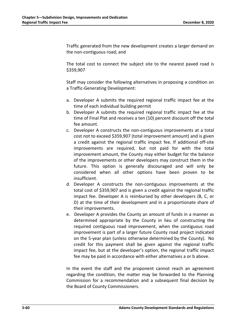Traffic generated from the new development creates a larger demand on the non-contiguous road; and

The total cost to connect the subject site to the nearest paved road is \$359,907

Staff may consider the following alternatives in proposing a condition on a Traffic-Generating Development:

- a. Developer A submits the required regional traffic impact fee at the time of each individual building permit
- b. Developer A submits the required regional traffic impact fee at the time of Final Plat and receives a ten (10) percent discount off the total fee amount.
- c. Developer A constructs the non-contiguous improvements at a total cost not to exceed \$359,907 (total improvement amount) and is given a credit against the regional traffic impact fee. If additional off-site improvements are required, but not paid for with the total improvement amount, the County may either budget for the balance of the improvements or other developers may construct them in the future. This option is generally discouraged and will only be considered when all other options have been proven to be insufficient.
- d. Developer A constructs the non-contiguous improvements at the total cost of \$359,907 and is given a credit against the regional traffic impact fee. Developer A is reimbursed by other developers (B, C, or D) at the time of their development and in a proportionate share of their improvements.
- e. Developer A provides the County an amount of funds in a manner as determined appropriate by the County in lieu of constructing the required contiguous road improvement, when the contiguous road improvement is part of a larger future County road project indicated on the 5-year plan (unless otherwise determined by the County). No credit for this payment shall be given against the regional traffic impact fee, but at the developer's option, the regional traffic impact fee may be paid in accordance with either alternatives a or b above.

In the event the staff and the proponent cannot reach an agreement regarding the condition, the matter may be forwarded to the Planning Commission for a recommendation and a subsequent final decision by the Board of County Commissioners.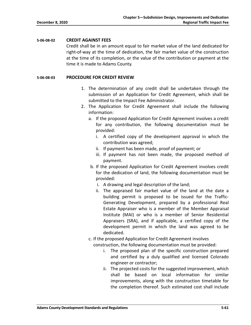#### **5-06-08-02 CREDIT AGAINST FEES**

Credit shall be in an amount equal to fair market value of the land dedicated for right-of-way at the time of dedication, the fair market value of the construction at the time of its completion, or the value of the contribution or payment at the time it is made to Adams County.

# **5-06-08-03 PROCEDURE FOR CREDIT REVIEW**

- 1. The determination of any credit shall be undertaken through the submission of an Application for Credit Agreement, which shall be submitted to the Impact Fee Administrator.
- 2. The Application for Credit Agreement shall include the following information:
	- a. If the proposed Application for Credit Agreement involves a credit for any contribution, the following documentation must be provided:
		- i. A certified copy of the development approval in which the contribution was agreed;
		- ii. If payment has been made, proof of payment; or
		- iii. If payment has not been made, the proposed method of payment.
	- b. If the proposed Application for Credit Agreement involves credit for the dedication of land, the following documentation must be provided:
		- i. A drawing and legal description of the land;
		- ii. The appraised fair market value of the land at the date a building permit is proposed to be issued for the Traffic-Generating Development, prepared by a professional Real Estate Appraiser who is a member of the Member Appraisal Institute (MAI) or who is a member of Senior Residential Appraisers (SRA), and if applicable, a certified copy of the development permit in which the land was agreed to be dedicated.
	- c. If the proposed Application for Credit Agreement involves

construction, the following documentation must be provided:

- i. The proposed plan of the specific construction prepared and certified by a duly qualified and licensed Colorado engineer or contractor;
- ii. The projected costs for the suggested improvement, which shall be based on local information for similar improvements, along with the construction timetable for the completion thereof. Such estimated cost shall include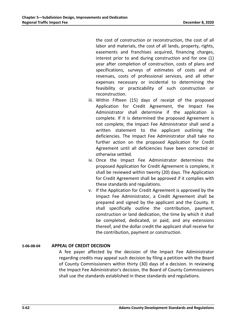the cost of construction or reconstruction, the cost of all labor and materials, the cost of all lands, property, rights, easements and franchises acquired, financing charges, interest prior to and during construction and for one (1) year after completion of construction, costs of plans and specifications, surveys of estimates of costs and of revenues, costs of professional services, and all other expenses necessary or incidental to determining the feasibility or practicability of such construction or reconstruction.

- iii. Within Fifteen (15) days of receipt of the proposed Application for Credit Agreement, the Impact Fee Administrator shall determine if the application is complete. If it is determined the proposed Agreement is not complete, the Impact Fee Administrator shall send a written statement to the applicant outlining the deficiencies. The Impact Fee Administrator shall take no further action on the proposed Application for Credit Agreement until all deficiencies have been corrected or otherwise settled.
- iv. Once the Impact Fee Administrator determines the proposed Application for Credit Agreement is complete, it shall be reviewed within twenty (20) days. The Application for Credit Agreement shall be approved if it complies with these standards and regulations.
- v. If the Application for Credit Agreement is approved by the Impact Fee Administrator, a Credit Agreement shall be prepared and signed by the applicant and the County. It shall specifically outline the contribution, payment, construction or land dedication, the time by which it shall be completed, dedicated, or paid, and any extensions thereof, and the dollar credit the applicant shall receive for the contribution, payment or construction.

# **5-06-08-04 APPEAL OF CREDIT DECISION**

A fee payer affected by the decision of the Impact Fee Administrator regarding credits may appeal such decision by filing a petition with the Board of County Commissioners within thirty (30) days of a decision. In reviewing the Impact Fee Administrator's decision, the Board of County Commissioners shall use the standards established in these standards and regulations.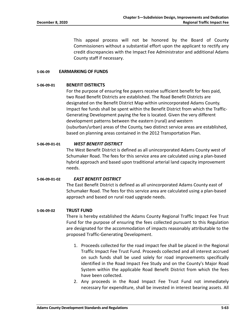This appeal process will not be honored by the Board of County Commissioners without a substantial effort upon the applicant to rectify any credit discrepancies with the Impact Fee Administrator and additional Adams County staff if necessary.

#### **5-06-09 EARMARKING OF FUNDS**

#### **5-06-09-01 BENEFIT DISTRICTS**

For the purpose of ensuring fee payers receive sufficient benefit for fees paid, two Road Benefit Districts are established. The Road Benefit Districts are designated on the Benefit District Map within unincorporated Adams County. Impact fee funds shall be spent within the Benefit District from which the Traffic-Generating Development paying the fee is located. Given the very different development patterns between the eastern (rural) and western (suburban/urban) areas of the County, two distinct service areas are established, based on planning areas contained in the 2012 Transportation Plan.

#### **5-06-09-01-01** *WEST BENEFIT DISTRICT*

The West Benefit District is defined as all unincorporated Adams County west of Schumaker Road. The fees for this service area are calculated using a plan-based hybrid approach and based upon traditional arterial land capacity improvement needs.

**5-06-09-01-02** *EAST BENEFIT DISTRICT* The East Benefit District is defined as all unincorporated Adams County east of Schumaker Road. The fees for this service area are calculated using a plan-based

approach and based on rural road upgrade needs.

#### **5-06-09-02 TRUST FUND**

There is hereby established the Adams County Regional Traffic Impact Fee Trust Fund for the purpose of ensuring the fees collected pursuant to this Regulation are designated for the accommodation of impacts reasonably attributable to the proposed Traffic-Generating Development.

- 1. Proceeds collected for the road impact fee shall be placed in the Regional Traffic Impact Fee Trust Fund. Proceeds collected and all interest accrued on such funds shall be used solely for road improvements specifically identified in the Road Impact Fee Study and on the County's Major Road System within the applicable Road Benefit District from which the fees have been collected.
- 2. Any proceeds in the Road Impact Fee Trust Fund not immediately necessary for expenditure, shall be invested in interest bearing assets. All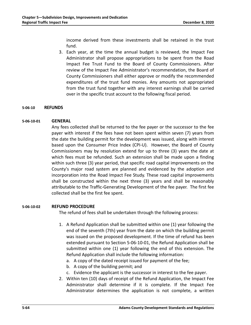income derived from these investments shall be retained in the trust fund.

3. Each year, at the time the annual budget is reviewed, the Impact Fee Administrator shall propose appropriations to be spent from the Road Impact Fee Trust Fund to the Board of County Commissioners. After review of the Impact Fee Administrator's recommendation, the Board of County Commissioners shall either approve or modify the recommended expenditures of the trust fund monies. Any amounts not appropriated from the trust fund together with any interest earnings shall be carried over in the specific trust account to the following fiscal period.

#### **5-06-10 REFUNDS**

#### **5-06-10-01 GENERAL**

Any fees collected shall be returned to the fee payer or the successor to the fee payer with interest if the fees have not been spent within seven (7) years from the date the building permit for the development was issued, along with interest based upon the Consumer Price Index (CPI-U). However, the Board of County Commissioners may by resolution extend for up to three (3) years the date at which fees must be refunded. Such an extension shall be made upon a finding within such three (3) year period, that specific road capital improvements on the County's major road system are planned and evidenced by the adoption and incorporation into the Road Impact Fee Study. These road capital improvements shall be constructed within the next three (3) years and shall be reasonably attributable to the Traffic-Generating Development of the fee payer. The first fee collected shall be the first fee spent.

#### **5-06-10-02 REFUND PROCEDURE**

The refund of fees shall be undertaken through the following process:

- 1. A Refund Application shall be submitted within one (1) year following the end of the seventh (7th) year from the date on which the building permit was issued on the proposed development. If the time of refund has been extended pursuant to Section 5-06-10-01, the Refund Application shall be submitted within one (1) year following the end of this extension. The Refund Application shall include the following information:
	- a. A copy of the dated receipt issued for payment of the fee;
	- b. A copy of the building permit; and
	- c. Evidence the applicant is the successor in interest to the fee payer.
- 2. Within ten (10) days of receipt of the Refund Application, the Impact Fee Administrator shall determine if it is complete. If the Impact Fee Administrator determines the application is not complete, a written